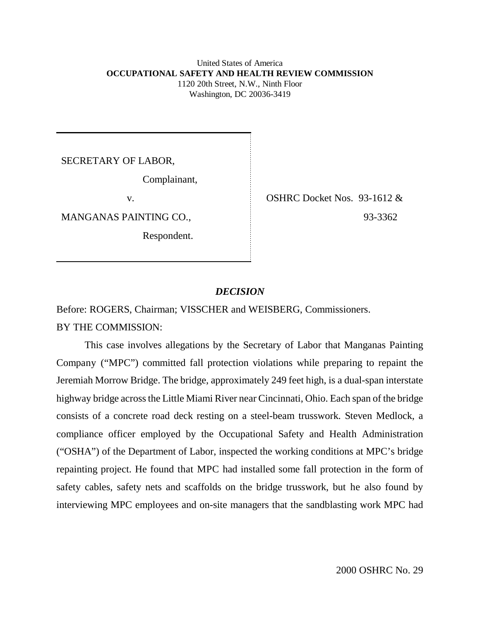### United States of America **OCCUPATIONAL SAFETY AND HEALTH REVIEW COMMISSION** 1120 20th Street, N.W., Ninth Floor Washington, DC 20036-3419

SECRETARY OF LABOR,

Complainant,

Respondent.

v. SHRC Docket Nos. 93-1612 & MANGANAS PAINTING CO., 93-3362

# *DECISION*

Before: ROGERS, Chairman; VISSCHER and WEISBERG, Commissioners.

BY THE COMMISSION:

This case involves allegations by the Secretary of Labor that Manganas Painting Company ("MPC") committed fall protection violations while preparing to repaint the Jeremiah Morrow Bridge. The bridge, approximately 249 feet high, is a dual-span interstate highway bridge across the Little Miami River near Cincinnati, Ohio. Each span of the bridge consists of a concrete road deck resting on a steel-beam trusswork. Steven Medlock, a compliance officer employed by the Occupational Safety and Health Administration ("OSHA") of the Department of Labor, inspected the working conditions at MPC's bridge repainting project. He found that MPC had installed some fall protection in the form of safety cables, safety nets and scaffolds on the bridge trusswork, but he also found by interviewing MPC employees and on-site managers that the sandblasting work MPC had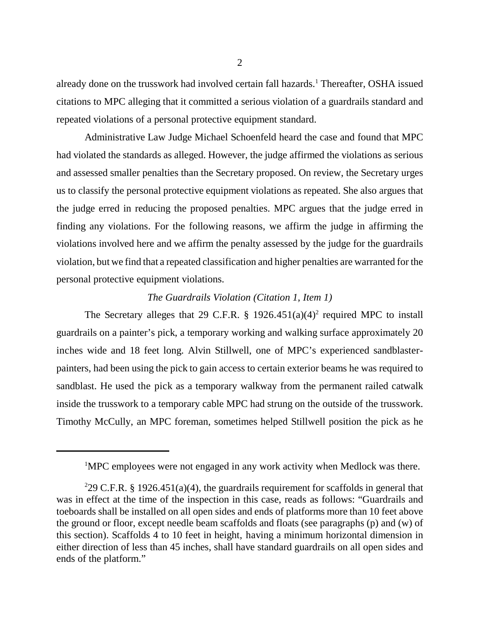already done on the trusswork had involved certain fall hazards.<sup>1</sup> Thereafter, OSHA issued citations to MPC alleging that it committed a serious violation of a guardrails standard and repeated violations of a personal protective equipment standard.

Administrative Law Judge Michael Schoenfeld heard the case and found that MPC had violated the standards as alleged. However, the judge affirmed the violations as serious and assessed smaller penalties than the Secretary proposed. On review, the Secretary urges us to classify the personal protective equipment violations as repeated. She also argues that the judge erred in reducing the proposed penalties. MPC argues that the judge erred in finding any violations. For the following reasons, we affirm the judge in affirming the violations involved here and we affirm the penalty assessed by the judge for the guardrails violation, but we find that a repeated classification and higher penalties are warranted for the personal protective equipment violations.

# *The Guardrails Violation (Citation 1, Item 1)*

The Secretary alleges that 29 C.F.R.  $\S$  1926.451(a)(4)<sup>2</sup> required MPC to install guardrails on a painter's pick, a temporary working and walking surface approximately 20 inches wide and 18 feet long. Alvin Stillwell, one of MPC's experienced sandblasterpainters, had been using the pick to gain access to certain exterior beams he was required to sandblast. He used the pick as a temporary walkway from the permanent railed catwalk inside the trusswork to a temporary cable MPC had strung on the outside of the trusswork. Timothy McCully, an MPC foreman, sometimes helped Stillwell position the pick as he

<sup>&</sup>lt;sup>1</sup>MPC employees were not engaged in any work activity when Medlock was there.

<sup>&</sup>lt;sup>2</sup>29 C.F.R. § 1926.451(a)(4), the guardrails requirement for scaffolds in general that was in effect at the time of the inspection in this case, reads as follows: "Guardrails and toeboards shall be installed on all open sides and ends of platforms more than 10 feet above the ground or floor, except needle beam scaffolds and floats (see paragraphs (p) and (w) of this section). Scaffolds 4 to 10 feet in height, having a minimum horizontal dimension in either direction of less than 45 inches, shall have standard guardrails on all open sides and ends of the platform."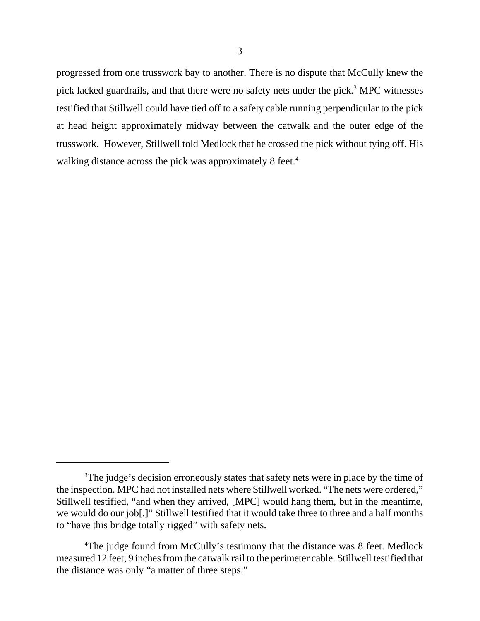progressed from one trusswork bay to another. There is no dispute that McCully knew the pick lacked guardrails, and that there were no safety nets under the pick.<sup>3</sup> MPC witnesses testified that Stillwell could have tied off to a safety cable running perpendicular to the pick at head height approximately midway between the catwalk and the outer edge of the trusswork. However, Stillwell told Medlock that he crossed the pick without tying off. His walking distance across the pick was approximately 8 feet.<sup>4</sup>

<sup>&</sup>lt;sup>3</sup>The judge's decision erroneously states that safety nets were in place by the time of the inspection. MPC had not installed nets where Stillwell worked. "The nets were ordered," Stillwell testified, "and when they arrived, [MPC] would hang them, but in the meantime, we would do our job[.]" Stillwell testified that it would take three to three and a half months to "have this bridge totally rigged" with safety nets.

<sup>&</sup>lt;sup>4</sup>The judge found from McCully's testimony that the distance was 8 feet. Medlock measured 12 feet, 9 inches from the catwalk rail to the perimeter cable. Stillwell testified that the distance was only "a matter of three steps."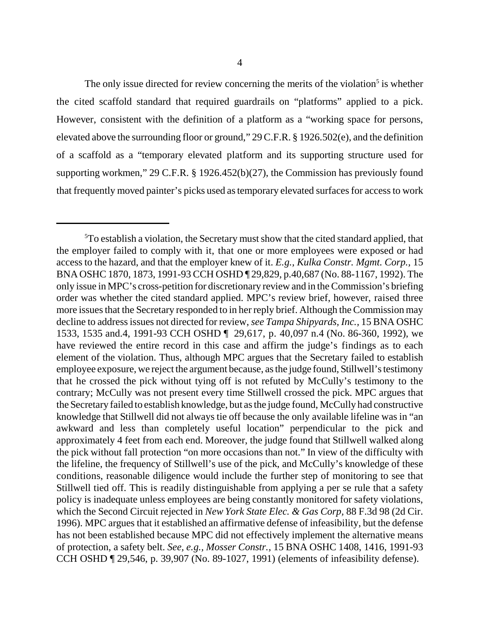The only issue directed for review concerning the merits of the violation<sup>5</sup> is whether the cited scaffold standard that required guardrails on "platforms" applied to a pick. However, consistent with the definition of a platform as a "working space for persons, elevated above the surrounding floor or ground," 29 C.F.R. § 1926.502(e), and the definition of a scaffold as a "temporary elevated platform and its supporting structure used for supporting workmen," 29 C.F.R. § 1926.452(b)(27), the Commission has previously found that frequently moved painter's picks used as temporary elevated surfaces for access to work

<sup>&</sup>lt;sup>5</sup>To establish a violation, the Secretary must show that the cited standard applied, that the employer failed to comply with it, that one or more employees were exposed or had access to the hazard, and that the employer knew of it. *E.g., Kulka Constr. Mgmt. Corp.,* 15 BNA OSHC 1870, 1873, 1991-93 CCH OSHD ¶ 29,829, p.40,687 (No. 88-1167, 1992). The only issue in MPC's cross-petition for discretionary review and in the Commission's briefing order was whether the cited standard applied. MPC's review brief, however, raised three more issues that the Secretary responded to in her reply brief. Although the Commission may decline to address issues not directed for review, *see Tampa Shipyards, Inc.,* 15 BNA OSHC 1533, 1535 and.4, 1991-93 CCH OSHD ¶ 29,617, p. 40,097 n.4 (No. 86-360, 1992), we have reviewed the entire record in this case and affirm the judge's findings as to each element of the violation. Thus, although MPC argues that the Secretary failed to establish employee exposure, we reject the argument because, as the judge found, Stillwell's testimony that he crossed the pick without tying off is not refuted by McCully's testimony to the contrary; McCully was not present every time Stillwell crossed the pick. MPC argues that the Secretary failed to establish knowledge, but as the judge found, McCully had constructive knowledge that Stillwell did not always tie off because the only available lifeline was in "an awkward and less than completely useful location" perpendicular to the pick and approximately 4 feet from each end. Moreover, the judge found that Stillwell walked along the pick without fall protection "on more occasions than not." In view of the difficulty with the lifeline, the frequency of Stillwell's use of the pick, and McCully's knowledge of these conditions, reasonable diligence would include the further step of monitoring to see that Stillwell tied off. This is readily distinguishable from applying a per se rule that a safety policy is inadequate unless employees are being constantly monitored for safety violations, which the Second Circuit rejected in *New York State Elec. & Gas Corp,* 88 F.3d 98 (2d Cir. 1996). MPC argues that it established an affirmative defense of infeasibility, but the defense has not been established because MPC did not effectively implement the alternative means of protection, a safety belt. *See, e.g., Mosser Constr.,* 15 BNA OSHC 1408, 1416, 1991-93 CCH OSHD ¶ 29,546, p. 39,907 (No. 89-1027, 1991) (elements of infeasibility defense).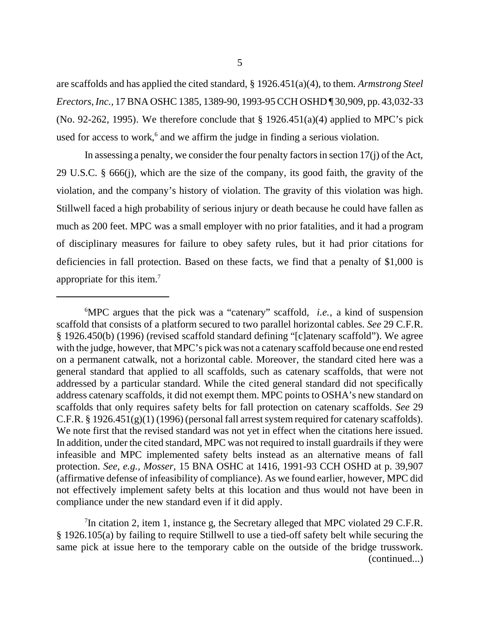are scaffolds and has applied the cited standard, § 1926.451(a)(4), to them. *Armstrong Steel Erectors, Inc.,* 17 BNA OSHC 1385, 1389-90, 1993-95 CCH OSHD ¶ 30,909, pp. 43,032-33 (No. 92-262, 1995). We therefore conclude that  $\S 1926.451(a)(4)$  applied to MPC's pick used for access to work,<sup>6</sup> and we affirm the judge in finding a serious violation.

In assessing a penalty, we consider the four penalty factors in section 17(j) of the Act, 29 U.S.C. § 666(j), which are the size of the company, its good faith, the gravity of the violation, and the company's history of violation. The gravity of this violation was high. Stillwell faced a high probability of serious injury or death because he could have fallen as much as 200 feet. MPC was a small employer with no prior fatalities, and it had a program of disciplinary measures for failure to obey safety rules, but it had prior citations for deficiencies in fall protection. Based on these facts, we find that a penalty of \$1,000 is appropriate for this item.7

<sup>7</sup>In citation 2, item 1, instance g, the Secretary alleged that MPC violated 29 C.F.R. § 1926.105(a) by failing to require Stillwell to use a tied-off safety belt while securing the same pick at issue here to the temporary cable on the outside of the bridge trusswork. (continued...)

<sup>6</sup> MPC argues that the pick was a "catenary" scaffold, *i.e.,* a kind of suspension scaffold that consists of a platform secured to two parallel horizontal cables. *See* 29 C.F.R. § 1926.450(b) (1996) (revised scaffold standard defining "[c]atenary scaffold"). We agree with the judge, however, that MPC's pick was not a catenary scaffold because one end rested on a permanent catwalk, not a horizontal cable. Moreover, the standard cited here was a general standard that applied to all scaffolds, such as catenary scaffolds, that were not addressed by a particular standard. While the cited general standard did not specifically address catenary scaffolds, it did not exempt them. MPC points to OSHA's new standard on scaffolds that only requires safety belts for fall protection on catenary scaffolds. *See* 29 C.F.R.  $\S$  1926.451(g)(1)(1996) (personal fall arrest system required for catenary scaffolds). We note first that the revised standard was not yet in effect when the citations here issued. In addition, under the cited standard, MPC was not required to install guardrails if they were infeasible and MPC implemented safety belts instead as an alternative means of fall protection. *See, e.g., Mosser,* 15 BNA OSHC at 1416, 1991-93 CCH OSHD at p. 39,907 (affirmative defense of infeasibility of compliance). As we found earlier, however, MPC did not effectively implement safety belts at this location and thus would not have been in compliance under the new standard even if it did apply.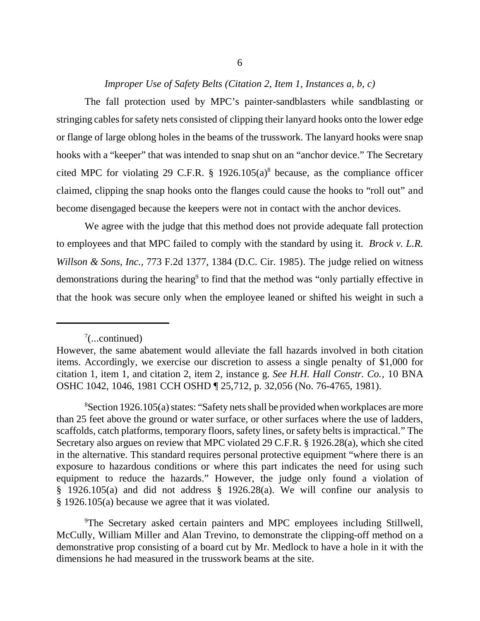# *Improper Use of Safety Belts (Citation 2, Item 1, Instances a, b, c)*

The fall protection used by MPC's painter-sandblasters while sandblasting or stringing cables for safety nets consisted of clipping their lanyard hooks onto the lower edge or flange of large oblong holes in the beams of the trusswork. The lanyard hooks were snap hooks with a "keeper" that was intended to snap shut on an "anchor device." The Secretary cited MPC for violating 29 C.F.R.  $\S$  1926.105(a)<sup>8</sup> because, as the compliance officer claimed, clipping the snap hooks onto the flanges could cause the hooks to "roll out" and become disengaged because the keepers were not in contact with the anchor devices.

We agree with the judge that this method does not provide adequate fall protection to employees and that MPC failed to comply with the standard by using it. *Brock v. L.R. Willson & Sons, Inc.,* 773 F.2d 1377, 1384 (D.C. Cir. 1985). The judge relied on witness demonstrations during the hearing<sup>9</sup> to find that the method was "only partially effective in that the hook was secure only when the employee leaned or shifted his weight in such a

<sup>9</sup>The Secretary asked certain painters and MPC employees including Stillwell, McCully, William Miller and Alan Trevino, to demonstrate the clipping-off method on a demonstrative prop consisting of a board cut by Mr. Medlock to have a hole in it with the dimensions he had measured in the trusswork beams at the site.

 $7$ (...continued)

However, the same abatement would alleviate the fall hazards involved in both citation items. Accordingly, we exercise our discretion to assess a single penalty of \$1,000 for citation 1, item 1, and citation 2, item 2, instance g. *See H.H. Hall Constr. Co.,* 10 BNA OSHC 1042, 1046, 1981 CCH OSHD ¶ 25,712, p. 32,056 (No. 76-4765, 1981).

<sup>&</sup>lt;sup>8</sup>Section 1926.105(a) states: "Safety nets shall be provided when workplaces are more than 25 feet above the ground or water surface, or other surfaces where the use of ladders, scaffolds, catch platforms, temporary floors, safety lines, or safety belts is impractical." The Secretary also argues on review that MPC violated 29 C.F.R. § 1926.28(a), which she cited in the alternative. This standard requires personal protective equipment "where there is an exposure to hazardous conditions or where this part indicates the need for using such equipment to reduce the hazards." However, the judge only found a violation of § 1926.105(a) and did not address § 1926.28(a). We will confine our analysis to § 1926.105(a) because we agree that it was violated.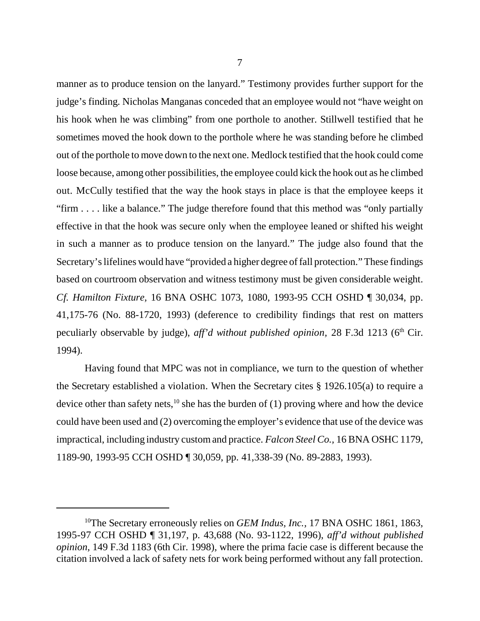manner as to produce tension on the lanyard." Testimony provides further support for the judge's finding. Nicholas Manganas conceded that an employee would not "have weight on his hook when he was climbing" from one porthole to another. Stillwell testified that he sometimes moved the hook down to the porthole where he was standing before he climbed out of the porthole to move down to the next one. Medlock testified that the hook could come loose because, among other possibilities, the employee could kick the hook out as he climbed out. McCully testified that the way the hook stays in place is that the employee keeps it "firm . . . . like a balance." The judge therefore found that this method was "only partially effective in that the hook was secure only when the employee leaned or shifted his weight in such a manner as to produce tension on the lanyard." The judge also found that the Secretary's lifelines would have "provided a higher degree of fall protection." These findings based on courtroom observation and witness testimony must be given considerable weight. *Cf. Hamilton Fixture,* 16 BNA OSHC 1073, 1080, 1993-95 CCH OSHD ¶ 30,034, pp. 41,175-76 (No. 88-1720, 1993) (deference to credibility findings that rest on matters peculiarly observable by judge), *aff'd without published opinion*, 28 F.3d 1213 (6<sup>th</sup> Cir. 1994).

Having found that MPC was not in compliance, we turn to the question of whether the Secretary established a violation. When the Secretary cites § 1926.105(a) to require a device other than safety nets, $^{10}$  she has the burden of (1) proving where and how the device could have been used and (2) overcoming the employer's evidence that use of the device was impractical, including industry custom and practice. *Falcon Steel Co.,* 16 BNA OSHC 1179, 1189-90, 1993-95 CCH OSHD ¶ 30,059, pp. 41,338-39 (No. 89-2883, 1993).

<sup>&</sup>lt;sup>10</sup>The Secretary erroneously relies on *GEM Indus, Inc.*, 17 BNA OSHC 1861, 1863, 1995-97 CCH OSHD ¶ 31,197, p. 43,688 (No. 93-1122, 1996), *aff'd without published opinion*, 149 F.3d 1183 (6th Cir. 1998), where the prima facie case is different because the citation involved a lack of safety nets for work being performed without any fall protection.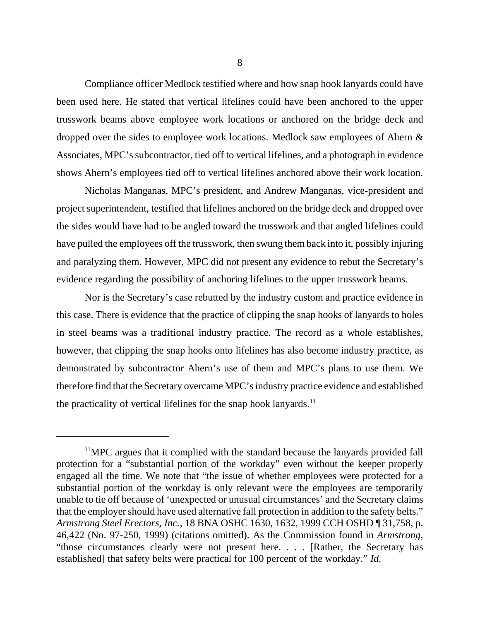Compliance officer Medlock testified where and how snap hook lanyards could have been used here. He stated that vertical lifelines could have been anchored to the upper trusswork beams above employee work locations or anchored on the bridge deck and dropped over the sides to employee work locations. Medlock saw employees of Ahern & Associates, MPC's subcontractor, tied off to vertical lifelines, and a photograph in evidence shows Ahern's employees tied off to vertical lifelines anchored above their work location.

Nicholas Manganas, MPC's president, and Andrew Manganas, vice-president and project superintendent, testified that lifelines anchored on the bridge deck and dropped over the sides would have had to be angled toward the trusswork and that angled lifelines could have pulled the employees off the trusswork, then swung them back into it, possibly injuring and paralyzing them. However, MPC did not present any evidence to rebut the Secretary's evidence regarding the possibility of anchoring lifelines to the upper trusswork beams.

Nor is the Secretary's case rebutted by the industry custom and practice evidence in this case. There is evidence that the practice of clipping the snap hooks of lanyards to holes in steel beams was a traditional industry practice. The record as a whole establishes, however, that clipping the snap hooks onto lifelines has also become industry practice, as demonstrated by subcontractor Ahern's use of them and MPC's plans to use them. We therefore find that the Secretary overcame MPC's industry practice evidence and established the practicality of vertical lifelines for the snap hook lanyards. $11$ 

<sup>&</sup>lt;sup>11</sup>MPC argues that it complied with the standard because the lanyards provided fall protection for a "substantial portion of the workday" even without the keeper properly engaged all the time. We note that "the issue of whether employees were protected for a substantial portion of the workday is only relevant were the employees are temporarily unable to tie off because of 'unexpected or unusual circumstances' and the Secretary claims that the employer should have used alternative fall protection in addition to the safety belts." *Armstrong Steel Erectors, Inc.,* 18 BNA OSHC 1630, 1632, 1999 CCH OSHD ¶ 31,758, p. 46,422 (No. 97-250, 1999) (citations omitted). As the Commission found in *Armstrong,* "those circumstances clearly were not present here. . . . [Rather, the Secretary has established] that safety belts were practical for 100 percent of the workday." *Id.*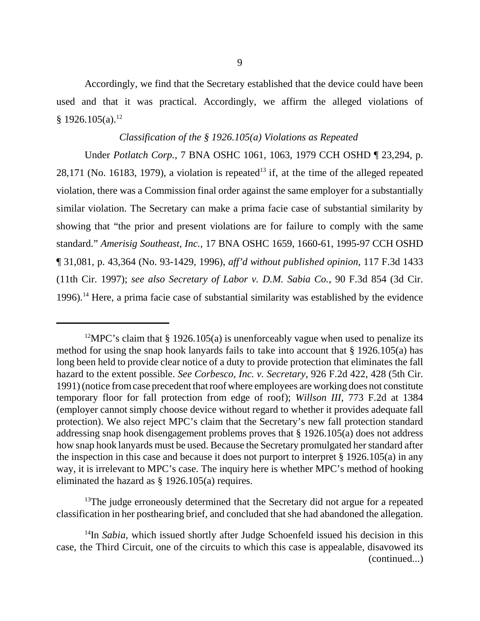Accordingly, we find that the Secretary established that the device could have been used and that it was practical. Accordingly, we affirm the alleged violations of  $§$  1926.105(a).<sup>12</sup>

## *Classification of the § 1926.105(a) Violations as Repeated*

Under *Potlatch Corp.,* 7 BNA OSHC 1061, 1063, 1979 CCH OSHD ¶ 23,294, p. 28,171 (No. 16183, 1979), a violation is repeated<sup>13</sup> if, at the time of the alleged repeated violation, there was a Commission final order against the same employer for a substantially similar violation. The Secretary can make a prima facie case of substantial similarity by showing that "the prior and present violations are for failure to comply with the same standard." *Amerisig Southeast, Inc.,* 17 BNA OSHC 1659, 1660-61, 1995-97 CCH OSHD ¶ 31,081, p. 43,364 (No. 93-1429, 1996), *aff'd without published opinion,* 117 F.3d 1433 (11th Cir. 1997); *see also Secretary of Labor v. D.M. Sabia Co.*, 90 F.3d 854 (3d Cir. 1996).14 Here, a prima facie case of substantial similarity was established by the evidence

 $13$ The judge erroneously determined that the Secretary did not argue for a repeated classification in her posthearing brief, and concluded that she had abandoned the allegation.

<sup>14</sup>In *Sabia*, which issued shortly after Judge Schoenfeld issued his decision in this case, the Third Circuit, one of the circuits to which this case is appealable, disavowed its (continued...)

<sup>&</sup>lt;sup>12</sup>MPC's claim that § 1926.105(a) is unenforceably vague when used to penalize its method for using the snap hook lanyards fails to take into account that § 1926.105(a) has long been held to provide clear notice of a duty to provide protection that eliminates the fall hazard to the extent possible. *See Corbesco, Inc. v. Secretary,* 926 F.2d 422, 428 (5th Cir. 1991) (notice from case precedent that roof where employees are working does not constitute temporary floor for fall protection from edge of roof); *Willson III*, 773 F.2d at 1384 (employer cannot simply choose device without regard to whether it provides adequate fall protection). We also reject MPC's claim that the Secretary's new fall protection standard addressing snap hook disengagement problems proves that § 1926.105(a) does not address how snap hook lanyards must be used. Because the Secretary promulgated her standard after the inspection in this case and because it does not purport to interpret § 1926.105(a) in any way, it is irrelevant to MPC's case. The inquiry here is whether MPC's method of hooking eliminated the hazard as § 1926.105(a) requires.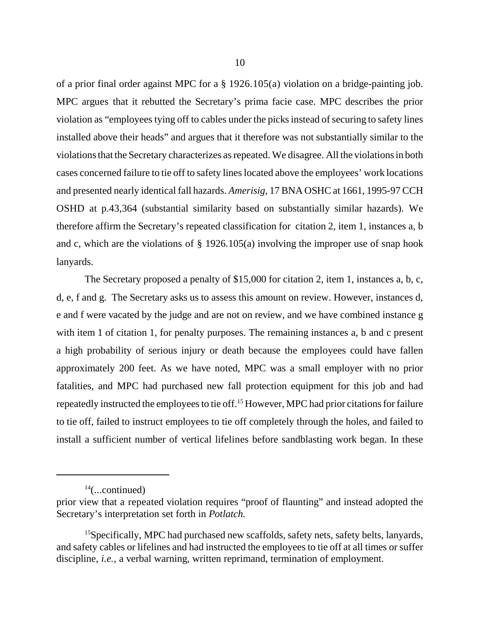of a prior final order against MPC for a § 1926.105(a) violation on a bridge-painting job. MPC argues that it rebutted the Secretary's prima facie case. MPC describes the prior violation as "employees tying off to cables under the picks instead of securing to safety lines installed above their heads" and argues that it therefore was not substantially similar to the violations that the Secretary characterizes as repeated. We disagree. All the violations in both cases concerned failure to tie off to safety lines located above the employees' work locations and presented nearly identical fall hazards. *Amerisig,* 17 BNA OSHC at 1661, 1995-97 CCH OSHD at p.43,364 (substantial similarity based on substantially similar hazards). We therefore affirm the Secretary's repeated classification for citation 2, item 1, instances a, b and c, which are the violations of § 1926.105(a) involving the improper use of snap hook lanyards.

The Secretary proposed a penalty of \$15,000 for citation 2, item 1, instances a, b, c, d, e, f and g. The Secretary asks us to assess this amount on review. However, instances d, e and f were vacated by the judge and are not on review, and we have combined instance g with item 1 of citation 1, for penalty purposes. The remaining instances a, b and c present a high probability of serious injury or death because the employees could have fallen approximately 200 feet. As we have noted, MPC was a small employer with no prior fatalities, and MPC had purchased new fall protection equipment for this job and had repeatedly instructed the employees to tie off.15 However, MPC had prior citations for failure to tie off, failed to instruct employees to tie off completely through the holes, and failed to install a sufficient number of vertical lifelines before sandblasting work began. In these

 $14$ (...continued)

prior view that a repeated violation requires "proof of flaunting" and instead adopted the Secretary's interpretation set forth in *Potlatch.*

<sup>&</sup>lt;sup>15</sup>Specifically, MPC had purchased new scaffolds, safety nets, safety belts, lanyards, and safety cables or lifelines and had instructed the employees to tie off at all times or suffer discipline, *i.e.*, a verbal warning, written reprimand, termination of employment.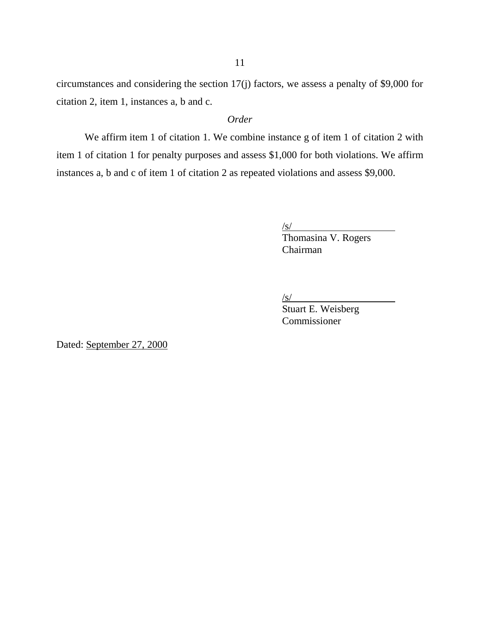circumstances and considering the section 17(j) factors, we assess a penalty of \$9,000 for citation 2, item 1, instances a, b and c.

# *Order*

We affirm item 1 of citation 1. We combine instance g of item 1 of citation 2 with item 1 of citation 1 for penalty purposes and assess \$1,000 for both violations. We affirm instances a, b and c of item 1 of citation 2 as repeated violations and assess \$9,000.

 $\sqrt{s/2}$ 

 $\frac{S}{S}$ Thomasina V. Rogers Chairman

/s/

Stuart E. Weisberg Commissioner

Dated: September 27, 2000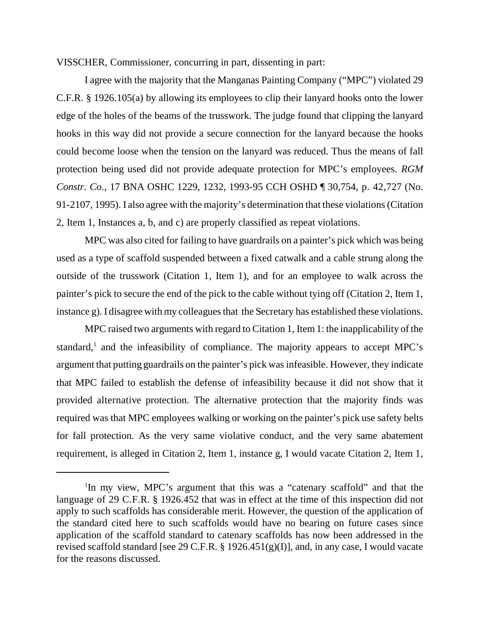VISSCHER, Commissioner, concurring in part, dissenting in part:

I agree with the majority that the Manganas Painting Company ("MPC") violated 29 C.F.R. § 1926.105(a) by allowing its employees to clip their lanyard hooks onto the lower edge of the holes of the beams of the trusswork. The judge found that clipping the lanyard hooks in this way did not provide a secure connection for the lanyard because the hooks could become loose when the tension on the lanyard was reduced. Thus the means of fall protection being used did not provide adequate protection for MPC's employees. *RGM Constr. Co*., 17 BNA OSHC 1229, 1232, 1993-95 CCH OSHD ¶ 30,754, p. 42,727 (No. 91-2107, 1995). I also agree with the majority's determination that these violations (Citation 2, Item 1, Instances a, b, and c) are properly classified as repeat violations.

MPC was also cited for failing to have guardrails on a painter's pick which was being used as a type of scaffold suspended between a fixed catwalk and a cable strung along the outside of the trusswork (Citation 1, Item 1), and for an employee to walk across the painter's pick to secure the end of the pick to the cable without tying off (Citation 2, Item 1, instance g). I disagree with my colleagues that the Secretary has established these violations.

MPC raised two arguments with regard to Citation 1, Item 1: the inapplicability of the standard,<sup>1</sup> and the infeasibility of compliance. The majority appears to accept MPC's argument that putting guardrails on the painter's pick was infeasible. However, they indicate that MPC failed to establish the defense of infeasibility because it did not show that it provided alternative protection. The alternative protection that the majority finds was required was that MPC employees walking or working on the painter's pick use safety belts for fall protection. As the very same violative conduct, and the very same abatement requirement, is alleged in Citation 2, Item 1, instance g, I would vacate Citation 2, Item 1,

<sup>1</sup> In my view, MPC's argument that this was a "catenary scaffold" and that the language of 29 C.F.R. § 1926.452 that was in effect at the time of this inspection did not apply to such scaffolds has considerable merit. However, the question of the application of the standard cited here to such scaffolds would have no bearing on future cases since application of the scaffold standard to catenary scaffolds has now been addressed in the revised scaffold standard [see 29 C.F.R. § 1926.451(g)(I)], and, in any case, I would vacate for the reasons discussed.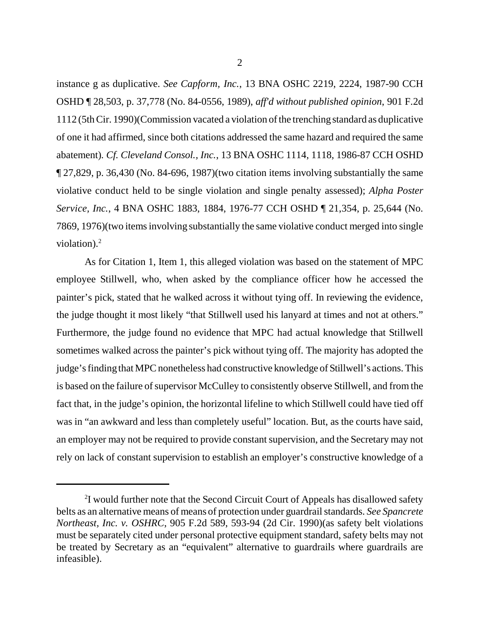instance g as duplicative. *See Capform, Inc.*, 13 BNA OSHC 2219, 2224, 1987-90 CCH OSHD ¶ 28,503, p. 37,778 (No. 84-0556, 1989), *aff'd without published opinion*, 901 F.2d 1112 (5th Cir. 1990)(Commission vacated a violation of the trenching standard as duplicative of one it had affirmed, since both citations addressed the same hazard and required the same abatement)*. Cf. Cleveland Consol., Inc.*, 13 BNA OSHC 1114, 1118, 1986-87 CCH OSHD ¶ 27,829, p. 36,430 (No. 84-696, 1987)(two citation items involving substantially the same violative conduct held to be single violation and single penalty assessed); *Alpha Poster Service, Inc.*, 4 BNA OSHC 1883, 1884, 1976-77 CCH OSHD ¶ 21,354, p. 25,644 (No. 7869, 1976)(two items involving substantially the same violative conduct merged into single violation). $2$ 

As for Citation 1, Item 1, this alleged violation was based on the statement of MPC employee Stillwell, who, when asked by the compliance officer how he accessed the painter's pick, stated that he walked across it without tying off. In reviewing the evidence, the judge thought it most likely "that Stillwell used his lanyard at times and not at others." Furthermore, the judge found no evidence that MPC had actual knowledge that Stillwell sometimes walked across the painter's pick without tying off. The majority has adopted the judge's finding that MPC nonetheless had constructive knowledge of Stillwell's actions. This is based on the failure of supervisor McCulley to consistently observe Stillwell, and from the fact that, in the judge's opinion, the horizontal lifeline to which Stillwell could have tied off was in "an awkward and less than completely useful" location. But, as the courts have said, an employer may not be required to provide constant supervision, and the Secretary may not rely on lack of constant supervision to establish an employer's constructive knowledge of a

<sup>&</sup>lt;sup>2</sup>I would further note that the Second Circuit Court of Appeals has disallowed safety belts as an alternative means of means of protection under guardrail standards. *See Spancrete Northeast, Inc. v. OSHRC*, 905 F.2d 589, 593-94 (2d Cir. 1990)(as safety belt violations must be separately cited under personal protective equipment standard, safety belts may not be treated by Secretary as an "equivalent" alternative to guardrails where guardrails are infeasible).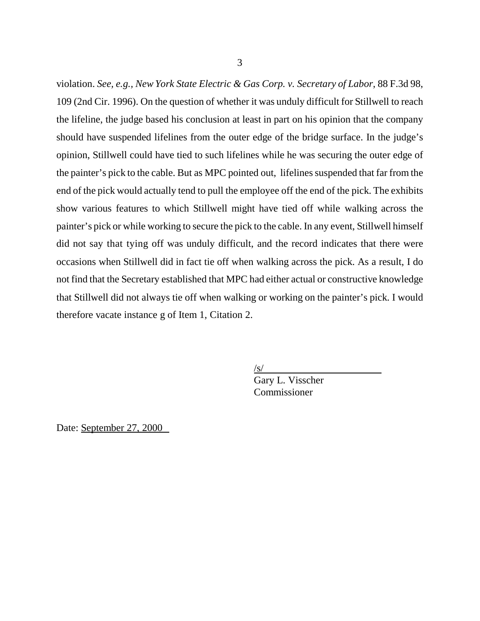violation. *See, e.g., New York State Electric & Gas Corp. v. Secretary of Labor*, 88 F.3d 98, 109 (2nd Cir. 1996). On the question of whether it was unduly difficult for Stillwell to reach the lifeline, the judge based his conclusion at least in part on his opinion that the company should have suspended lifelines from the outer edge of the bridge surface. In the judge's opinion, Stillwell could have tied to such lifelines while he was securing the outer edge of the painter's pick to the cable. But as MPC pointed out, lifelines suspended that far from the end of the pick would actually tend to pull the employee off the end of the pick. The exhibits show various features to which Stillwell might have tied off while walking across the painter's pick or while working to secure the pick to the cable. In any event, Stillwell himself did not say that tying off was unduly difficult, and the record indicates that there were occasions when Stillwell did in fact tie off when walking across the pick. As a result, I do not find that the Secretary established that MPC had either actual or constructive knowledge that Stillwell did not always tie off when walking or working on the painter's pick. I would therefore vacate instance g of Item 1, Citation 2.

> /s/ Gary L. Visscher

Commissioner

Date: September 27, 2000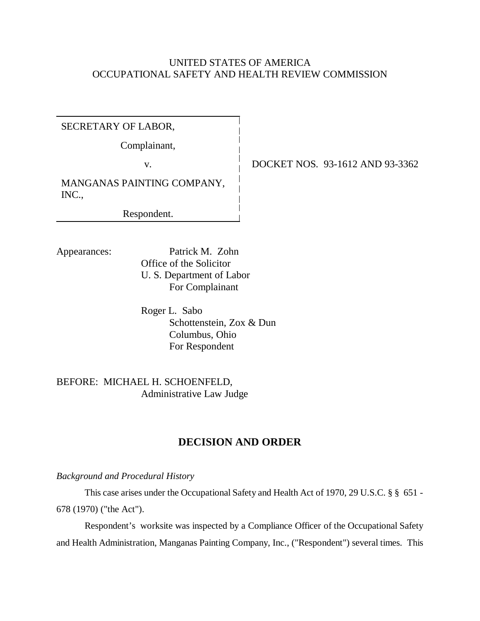# UNITED STATES OF AMERICA OCCUPATIONAL SAFETY AND HEALTH REVIEW COMMISSION

SECRETARY OF LABOR,

Complainant,

v. <u>DOCKET NOS.</u> 93-1612 AND 93-3362

MANGANAS PAINTING COMPANY, INC.,

Respondent.

Appearances: Patrick M. Zohn

Office of the Solicitor U. S. Department of Labor For Complainant

Roger L. Sabo Schottenstein, Zox & Dun Columbus, Ohio For Respondent

BEFORE: MICHAEL H. SCHOENFELD, Administrative Law Judge

# **DECISION AND ORDER**

*Background and Procedural History*

This case arises under the Occupational Safety and Health Act of 1970, 29 U.S.C. § § 651 - 678 (1970) ("the Act").

Respondent's worksite was inspected by a Compliance Officer of the Occupational Safety and Health Administration, Manganas Painting Company, Inc., ("Respondent") several times. This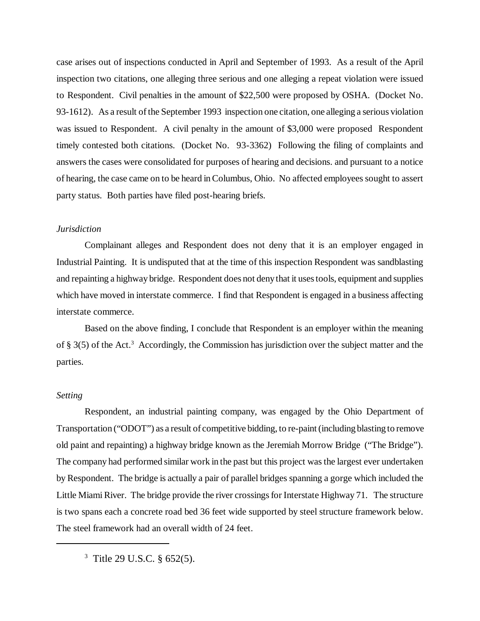case arises out of inspections conducted in April and September of 1993. As a result of the April inspection two citations, one alleging three serious and one alleging a repeat violation were issued to Respondent. Civil penalties in the amount of \$22,500 were proposed by OSHA. (Docket No. 93-1612). As a result of the September 1993 inspection one citation, one alleging a serious violation was issued to Respondent. A civil penalty in the amount of \$3,000 were proposed Respondent timely contested both citations. (Docket No. 93-3362) Following the filing of complaints and answers the cases were consolidated for purposes of hearing and decisions. and pursuant to a notice of hearing, the case came on to be heard in Columbus, Ohio. No affected employees sought to assert party status. Both parties have filed post-hearing briefs.

### *Jurisdiction*

Complainant alleges and Respondent does not deny that it is an employer engaged in Industrial Painting. It is undisputed that at the time of this inspection Respondent was sandblasting and repainting a highway bridge. Respondent does not deny that it uses tools, equipment and supplies which have moved in interstate commerce. I find that Respondent is engaged in a business affecting interstate commerce.

Based on the above finding, I conclude that Respondent is an employer within the meaning of § 3(5) of the Act.<sup>3</sup> Accordingly, the Commission has jurisdiction over the subject matter and the parties.

#### *Setting*

Respondent, an industrial painting company, was engaged by the Ohio Department of Transportation ("ODOT") as a result of competitive bidding, to re-paint (including blasting to remove old paint and repainting) a highway bridge known as the Jeremiah Morrow Bridge ("The Bridge"). The company had performed similar work in the past but this project was the largest ever undertaken by Respondent. The bridge is actually a pair of parallel bridges spanning a gorge which included the Little Miami River. The bridge provide the river crossings for Interstate Highway 71. The structure is two spans each a concrete road bed 36 feet wide supported by steel structure framework below. The steel framework had an overall width of 24 feet.

3 Title 29 U.S.C. § 652(5).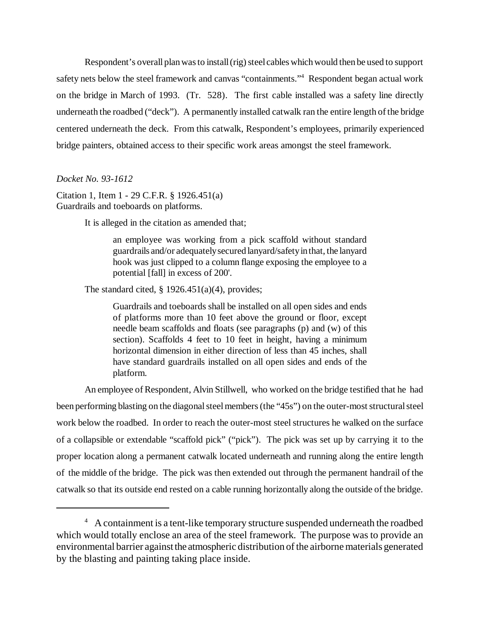Respondent's overall plan was to install (rig) steel cables which would then be used to support safety nets below the steel framework and canvas "containments."<sup>4</sup> Respondent began actual work on the bridge in March of 1993. (Tr. 528). The first cable installed was a safety line directly underneath the roadbed ("deck"). A permanently installed catwalk ran the entire length of the bridge centered underneath the deck. From this catwalk, Respondent's employees, primarily experienced bridge painters, obtained access to their specific work areas amongst the steel framework.

### *Docket No. 93-1612*

Citation 1, Item 1 - 29 C.F.R. § 1926.451(a) Guardrails and toeboards on platforms.

It is alleged in the citation as amended that;

an employee was working from a pick scaffold without standard guardrails and/or adequately secured lanyard/safety in that, the lanyard hook was just clipped to a column flange exposing the employee to a potential [fall] in excess of 200'.

The standard cited,  $\S$  1926.451(a)(4), provides;

Guardrails and toeboards shall be installed on all open sides and ends of platforms more than 10 feet above the ground or floor, except needle beam scaffolds and floats (see paragraphs (p) and (w) of this section). Scaffolds 4 feet to 10 feet in height, having a minimum horizontal dimension in either direction of less than 45 inches, shall have standard guardrails installed on all open sides and ends of the platform.

An employee of Respondent, Alvin Stillwell, who worked on the bridge testified that he had been performing blasting on the diagonal steel members (the "45s") on the outer-most structural steel work below the roadbed. In order to reach the outer-most steel structures he walked on the surface of a collapsible or extendable "scaffold pick" ("pick"). The pick was set up by carrying it to the proper location along a permanent catwalk located underneath and running along the entire length of the middle of the bridge. The pick was then extended out through the permanent handrail of the catwalk so that its outside end rested on a cable running horizontally along the outside of the bridge.

<sup>&</sup>lt;sup>4</sup> A containment is a tent-like temporary structure suspended underneath the roadbed which would totally enclose an area of the steel framework. The purpose was to provide an environmental barrier against the atmospheric distribution of the airborne materials generated by the blasting and painting taking place inside.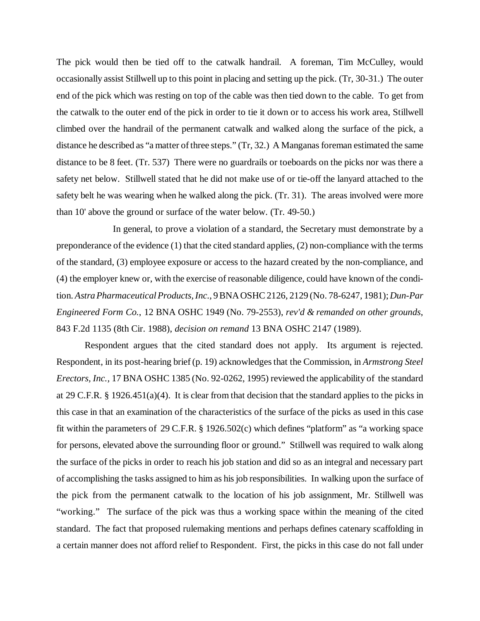The pick would then be tied off to the catwalk handrail. A foreman, Tim McCulley, would occasionally assist Stillwell up to this point in placing and setting up the pick. (Tr, 30-31.) The outer end of the pick which was resting on top of the cable was then tied down to the cable. To get from the catwalk to the outer end of the pick in order to tie it down or to access his work area, Stillwell climbed over the handrail of the permanent catwalk and walked along the surface of the pick, a distance he described as "a matter of three steps." (Tr, 32.) A Manganas foreman estimated the same distance to be 8 feet. (Tr. 537) There were no guardrails or toeboards on the picks nor was there a safety net below. Stillwell stated that he did not make use of or tie-off the lanyard attached to the safety belt he was wearing when he walked along the pick. (Tr. 31). The areas involved were more than 10' above the ground or surface of the water below. (Tr. 49-50.)

In general, to prove a violation of a standard, the Secretary must demonstrate by a preponderance of the evidence (1) that the cited standard applies, (2) non-compliance with the terms of the standard, (3) employee exposure or access to the hazard created by the non-compliance, and (4) the employer knew or, with the exercise of reasonable diligence, could have known of the condition. *Astra Pharmaceutical Products, Inc.*, 9 BNA OSHC 2126, 2129 (No. 78-6247, 1981); *Dun-Par Engineered Form Co.*, 12 BNA OSHC 1949 (No. 79-2553), *rev'd & remanded on other grounds*, 843 F.2d 1135 (8th Cir. 1988), *decision on remand* 13 BNA OSHC 2147 (1989).

Respondent argues that the cited standard does not apply. Its argument is rejected. Respondent, in its post-hearing brief (p. 19) acknowledges that the Commission, in *Armstrong Steel Erectors, Inc.,* 17 BNA OSHC 1385 (No. 92-0262, 1995) reviewed the applicability of the standard at 29 C.F.R. § 1926.451(a)(4). It is clear from that decision that the standard applies to the picks in this case in that an examination of the characteristics of the surface of the picks as used in this case fit within the parameters of 29 C.F.R. § 1926.502(c) which defines "platform" as "a working space for persons, elevated above the surrounding floor or ground." Stillwell was required to walk along the surface of the picks in order to reach his job station and did so as an integral and necessary part of accomplishing the tasks assigned to him as his job responsibilities. In walking upon the surface of the pick from the permanent catwalk to the location of his job assignment, Mr. Stillwell was "working." The surface of the pick was thus a working space within the meaning of the cited standard. The fact that proposed rulemaking mentions and perhaps defines catenary scaffolding in a certain manner does not afford relief to Respondent. First, the picks in this case do not fall under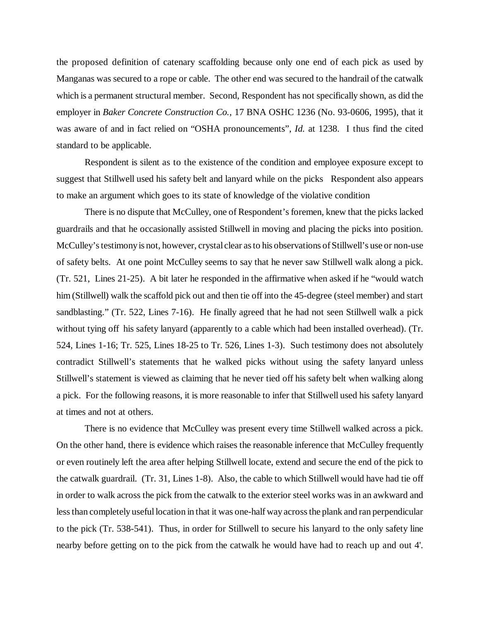the proposed definition of catenary scaffolding because only one end of each pick as used by Manganas was secured to a rope or cable. The other end was secured to the handrail of the catwalk which is a permanent structural member. Second, Respondent has not specifically shown, as did the employer in *Baker Concrete Construction Co.,* 17 BNA OSHC 1236 (No. 93-0606, 1995), that it was aware of and in fact relied on "OSHA pronouncements", *Id.* at 1238. I thus find the cited standard to be applicable.

Respondent is silent as to the existence of the condition and employee exposure except to suggest that Stillwell used his safety belt and lanyard while on the picks Respondent also appears to make an argument which goes to its state of knowledge of the violative condition

There is no dispute that McCulley, one of Respondent's foremen, knew that the picks lacked guardrails and that he occasionally assisted Stillwell in moving and placing the picks into position. McCulley's testimony is not, however, crystal clear as to his observations of Stillwell's use or non-use of safety belts. At one point McCulley seems to say that he never saw Stillwell walk along a pick. (Tr. 521, Lines 21-25). A bit later he responded in the affirmative when asked if he "would watch him (Stillwell) walk the scaffold pick out and then tie off into the 45-degree (steel member) and start sandblasting." (Tr. 522, Lines 7-16). He finally agreed that he had not seen Stillwell walk a pick without tying off his safety lanyard (apparently to a cable which had been installed overhead). (Tr. 524, Lines 1-16; Tr. 525, Lines 18-25 to Tr. 526, Lines 1-3). Such testimony does not absolutely contradict Stillwell's statements that he walked picks without using the safety lanyard unless Stillwell's statement is viewed as claiming that he never tied off his safety belt when walking along a pick. For the following reasons, it is more reasonable to infer that Stillwell used his safety lanyard at times and not at others.

There is no evidence that McCulley was present every time Stillwell walked across a pick. On the other hand, there is evidence which raises the reasonable inference that McCulley frequently or even routinely left the area after helping Stillwell locate, extend and secure the end of the pick to the catwalk guardrail. (Tr. 31, Lines 1-8). Also, the cable to which Stillwell would have had tie off in order to walk across the pick from the catwalk to the exterior steel works was in an awkward and less than completely useful location in that it was one-half way across the plank and ran perpendicular to the pick (Tr. 538-541). Thus, in order for Stillwell to secure his lanyard to the only safety line nearby before getting on to the pick from the catwalk he would have had to reach up and out 4'.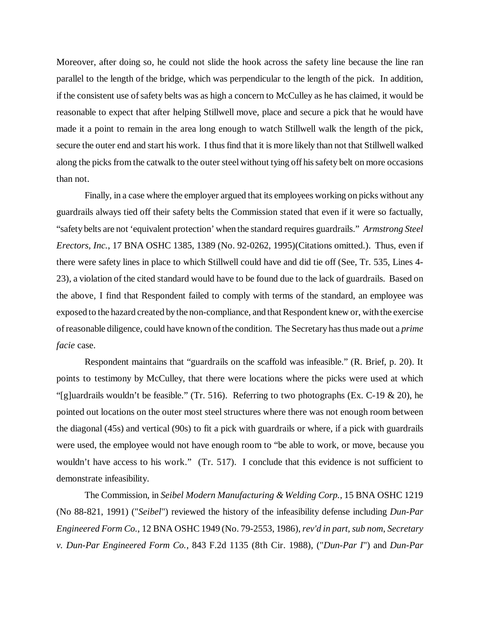Moreover, after doing so, he could not slide the hook across the safety line because the line ran parallel to the length of the bridge, which was perpendicular to the length of the pick. In addition, if the consistent use of safety belts was as high a concern to McCulley as he has claimed, it would be reasonable to expect that after helping Stillwell move, place and secure a pick that he would have made it a point to remain in the area long enough to watch Stillwell walk the length of the pick, secure the outer end and start his work. I thus find that it is more likely than not that Stillwell walked along the picks from the catwalk to the outer steel without tying off his safety belt on more occasions than not.

Finally, in a case where the employer argued that its employees working on picks without any guardrails always tied off their safety belts the Commission stated that even if it were so factually, "safety belts are not 'equivalent protection' when the standard requires guardrails." *Armstrong Steel Erectors, Inc.*, 17 BNA OSHC 1385, 1389 (No. 92-0262, 1995)(Citations omitted.). Thus, even if there were safety lines in place to which Stillwell could have and did tie off (See, Tr. 535, Lines 4- 23), a violation of the cited standard would have to be found due to the lack of guardrails. Based on the above, I find that Respondent failed to comply with terms of the standard, an employee was exposed to the hazard created by the non-compliance, and that Respondent knew or, with the exercise of reasonable diligence, could have known of the condition. The Secretary has thus made out a *prime facie* case.

Respondent maintains that "guardrails on the scaffold was infeasible." (R. Brief, p. 20). It points to testimony by McCulley, that there were locations where the picks were used at which "[g]uardrails wouldn't be feasible." (Tr. 516). Referring to two photographs (Ex. C-19  $& 20$ ), he pointed out locations on the outer most steel structures where there was not enough room between the diagonal (45s) and vertical (90s) to fit a pick with guardrails or where, if a pick with guardrails were used, the employee would not have enough room to "be able to work, or move, because you wouldn't have access to his work." (Tr. 517). I conclude that this evidence is not sufficient to demonstrate infeasibility.

The Commission, in *Seibel Modern Manufacturing & Welding Corp.,* 15 BNA OSHC 1219 (No 88-821, 1991) ("*Seibel*") reviewed the history of the infeasibility defense including *Dun-Par Engineered Form Co.*, 12 BNA OSHC 1949 (No. 79-2553, 1986), *rev'd in part, sub nom*, *Secretary v. Dun-Par Engineered Form Co.*, 843 F.2d 1135 (8th Cir. 1988), ("*Dun-Par I*") and *Dun-Par*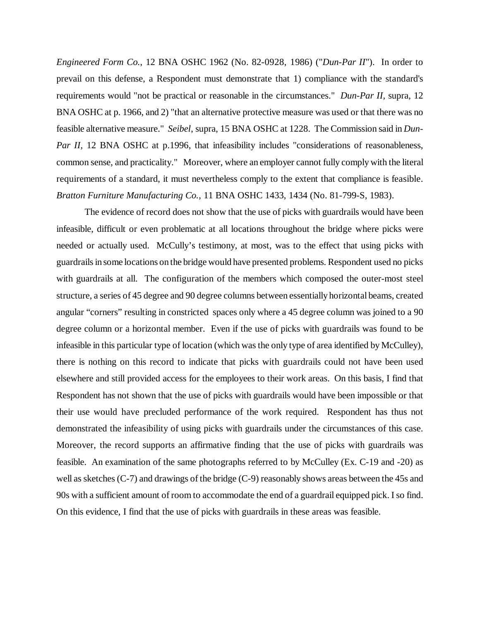*Engineered Form Co.*, 12 BNA OSHC 1962 (No. 82-0928, 1986) ("*Dun-Par II*"). In order to prevail on this defense, a Respondent must demonstrate that 1) compliance with the standard's requirements would "not be practical or reasonable in the circumstances." *Dun-Par II,* supra, 12 BNA OSHC at p. 1966, and 2) "that an alternative protective measure was used or that there was no feasible alternative measure." *Seibel*, supra, 15 BNA OSHC at 1228. The Commission said in *Dun-Par II*, 12 BNA OSHC at p.1996, that infeasibility includes "considerations of reasonableness, common sense, and practicality." Moreover, where an employer cannot fully comply with the literal requirements of a standard, it must nevertheless comply to the extent that compliance is feasible. *Bratton Furniture Manufacturing Co.,* 11 BNA OSHC 1433, 1434 (No. 81-799-S, 1983).

The evidence of record does not show that the use of picks with guardrails would have been infeasible, difficult or even problematic at all locations throughout the bridge where picks were needed or actually used. McCully's testimony, at most, was to the effect that using picks with guardrails in some locations on the bridge would have presented problems. Respondent used no picks with guardrails at all. The configuration of the members which composed the outer-most steel structure, a series of 45 degree and 90 degree columns between essentially horizontal beams, created angular "corners" resulting in constricted spaces only where a 45 degree column was joined to a 90 degree column or a horizontal member. Even if the use of picks with guardrails was found to be infeasible in this particular type of location (which was the only type of area identified by McCulley), there is nothing on this record to indicate that picks with guardrails could not have been used elsewhere and still provided access for the employees to their work areas. On this basis, I find that Respondent has not shown that the use of picks with guardrails would have been impossible or that their use would have precluded performance of the work required. Respondent has thus not demonstrated the infeasibility of using picks with guardrails under the circumstances of this case. Moreover, the record supports an affirmative finding that the use of picks with guardrails was feasible. An examination of the same photographs referred to by McCulley (Ex. C-19 and -20) as well as sketches (C-7) and drawings of the bridge (C-9) reasonably shows areas between the 45s and 90s with a sufficient amount of room to accommodate the end of a guardrail equipped pick. I so find. On this evidence, I find that the use of picks with guardrails in these areas was feasible.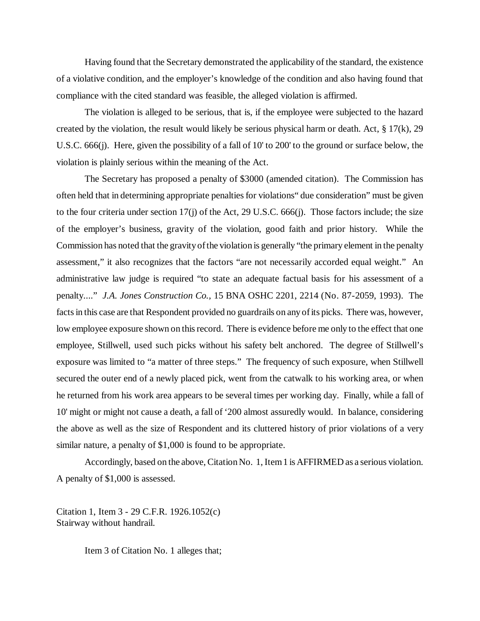Having found that the Secretary demonstrated the applicability of the standard, the existence of a violative condition, and the employer's knowledge of the condition and also having found that compliance with the cited standard was feasible, the alleged violation is affirmed.

The violation is alleged to be serious, that is, if the employee were subjected to the hazard created by the violation, the result would likely be serious physical harm or death. Act, § 17(k), 29 U.S.C. 666(j). Here, given the possibility of a fall of 10' to 200' to the ground or surface below, the violation is plainly serious within the meaning of the Act.

The Secretary has proposed a penalty of \$3000 (amended citation). The Commission has often held that in determining appropriate penalties for violations" due consideration" must be given to the four criteria under section 17(j) of the Act, 29 U.S.C. 666(j). Those factors include; the size of the employer's business, gravity of the violation, good faith and prior history. While the Commission has noted that the gravity of the violation is generally "the primary element in the penalty assessment," it also recognizes that the factors "are not necessarily accorded equal weight." An administrative law judge is required "to state an adequate factual basis for his assessment of a penalty...." *J.A. Jones Construction Co.,* 15 BNA OSHC 2201, 2214 (No. 87-2059, 1993). The facts in this case are that Respondent provided no guardrails on any of its picks. There was, however, low employee exposure shown on this record. There is evidence before me only to the effect that one employee, Stillwell, used such picks without his safety belt anchored. The degree of Stillwell's exposure was limited to "a matter of three steps." The frequency of such exposure, when Stillwell secured the outer end of a newly placed pick, went from the catwalk to his working area, or when he returned from his work area appears to be several times per working day. Finally, while a fall of 10' might or might not cause a death, a fall of '200 almost assuredly would. In balance, considering the above as well as the size of Respondent and its cluttered history of prior violations of a very similar nature, a penalty of \$1,000 is found to be appropriate.

Accordingly, based on the above, Citation No. 1, Item 1 is AFFIRMED as a serious violation. A penalty of \$1,000 is assessed.

Citation 1, Item 3 - 29 C.F.R. 1926.1052(c) Stairway without handrail.

Item 3 of Citation No. 1 alleges that;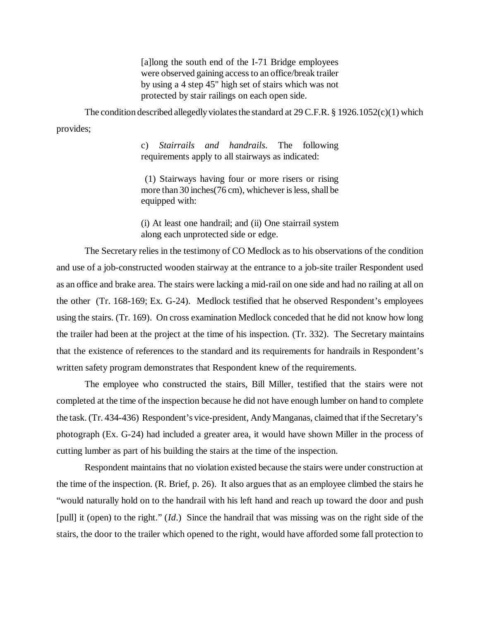[a]long the south end of the I-71 Bridge employees were observed gaining access to an office/break trailer by using a 4 step 45" high set of stairs which was not protected by stair railings on each open side.

The condition described allegedly violates the standard at 29 C.F.R. § 1926.1052(c)(1) which provides;

> c) *Stairrails and handrails*. The following requirements apply to all stairways as indicated:

> (1) Stairways having four or more risers or rising more than 30 inches(76 cm), whichever is less, shall be equipped with:

> (i) At least one handrail; and (ii) One stairrail system along each unprotected side or edge.

The Secretary relies in the testimony of CO Medlock as to his observations of the condition and use of a job-constructed wooden stairway at the entrance to a job-site trailer Respondent used as an office and brake area. The stairs were lacking a mid-rail on one side and had no railing at all on the other (Tr. 168-169; Ex. G-24). Medlock testified that he observed Respondent's employees using the stairs. (Tr. 169). On cross examination Medlock conceded that he did not know how long the trailer had been at the project at the time of his inspection. (Tr. 332). The Secretary maintains that the existence of references to the standard and its requirements for handrails in Respondent's written safety program demonstrates that Respondent knew of the requirements.

The employee who constructed the stairs, Bill Miller, testified that the stairs were not completed at the time of the inspection because he did not have enough lumber on hand to complete the task. (Tr. 434-436) Respondent's vice-president, Andy Manganas, claimed that if the Secretary's photograph (Ex. G-24) had included a greater area, it would have shown Miller in the process of cutting lumber as part of his building the stairs at the time of the inspection.

Respondent maintains that no violation existed because the stairs were under construction at the time of the inspection. (R. Brief, p. 26). It also argues that as an employee climbed the stairs he "would naturally hold on to the handrail with his left hand and reach up toward the door and push [pull] it (open) to the right." (*Id*.) Since the handrail that was missing was on the right side of the stairs, the door to the trailer which opened to the right, would have afforded some fall protection to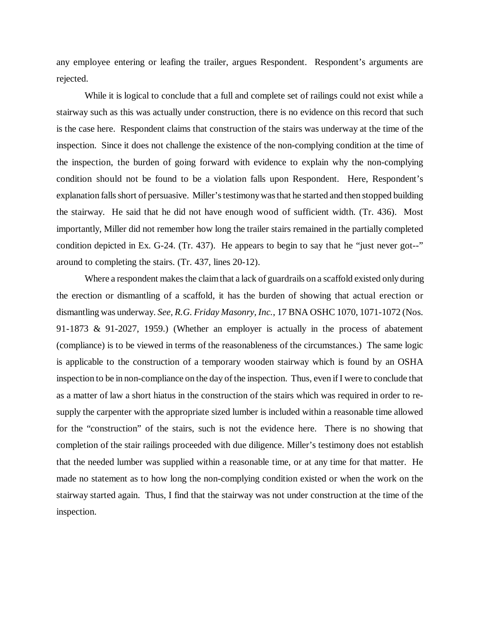any employee entering or leafing the trailer, argues Respondent. Respondent's arguments are rejected.

While it is logical to conclude that a full and complete set of railings could not exist while a stairway such as this was actually under construction, there is no evidence on this record that such is the case here. Respondent claims that construction of the stairs was underway at the time of the inspection. Since it does not challenge the existence of the non-complying condition at the time of the inspection, the burden of going forward with evidence to explain why the non-complying condition should not be found to be a violation falls upon Respondent. Here, Respondent's explanation falls short of persuasive. Miller's testimony was that he started and then stopped building the stairway. He said that he did not have enough wood of sufficient width. (Tr. 436). Most importantly, Miller did not remember how long the trailer stairs remained in the partially completed condition depicted in Ex. G-24. (Tr. 437). He appears to begin to say that he "just never got--" around to completing the stairs. (Tr. 437, lines 20-12).

Where a respondent makes the claim that a lack of guardrails on a scaffold existed only during the erection or dismantling of a scaffold, it has the burden of showing that actual erection or dismantling was underway. *See, R.G. Friday Masonry, Inc.*, 17 BNA OSHC 1070, 1071-1072 (Nos. 91-1873 & 91-2027, 1959.) (Whether an employer is actually in the process of abatement (compliance) is to be viewed in terms of the reasonableness of the circumstances.) The same logic is applicable to the construction of a temporary wooden stairway which is found by an OSHA inspection to be in non-compliance on the day of the inspection. Thus, even if I were to conclude that as a matter of law a short hiatus in the construction of the stairs which was required in order to resupply the carpenter with the appropriate sized lumber is included within a reasonable time allowed for the "construction" of the stairs, such is not the evidence here. There is no showing that completion of the stair railings proceeded with due diligence. Miller's testimony does not establish that the needed lumber was supplied within a reasonable time, or at any time for that matter. He made no statement as to how long the non-complying condition existed or when the work on the stairway started again. Thus, I find that the stairway was not under construction at the time of the inspection.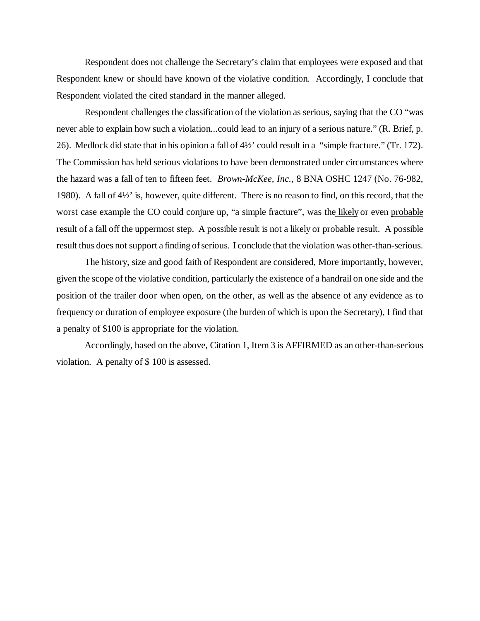Respondent does not challenge the Secretary's claim that employees were exposed and that Respondent knew or should have known of the violative condition. Accordingly, I conclude that Respondent violated the cited standard in the manner alleged.

Respondent challenges the classification of the violation as serious, saying that the CO "was never able to explain how such a violation...could lead to an injury of a serious nature." (R. Brief, p. 26). Medlock did state that in his opinion a fall of 4½' could result in a "simple fracture." (Tr. 172). The Commission has held serious violations to have been demonstrated under circumstances where the hazard was a fall of ten to fifteen feet. *Brown-McKee, Inc.,* 8 BNA OSHC 1247 (No. 76-982, 1980). A fall of 4½' is, however, quite different. There is no reason to find, on this record, that the worst case example the CO could conjure up, "a simple fracture", was the likely or even probable result of a fall off the uppermost step. A possible result is not a likely or probable result. A possible result thus does not support a finding of serious. I conclude that the violation was other-than-serious.

The history, size and good faith of Respondent are considered, More importantly, however, given the scope of the violative condition, particularly the existence of a handrail on one side and the position of the trailer door when open, on the other, as well as the absence of any evidence as to frequency or duration of employee exposure (the burden of which is upon the Secretary), I find that a penalty of \$100 is appropriate for the violation.

Accordingly, based on the above, Citation 1, Item 3 is AFFIRMED as an other-than-serious violation. A penalty of \$ 100 is assessed.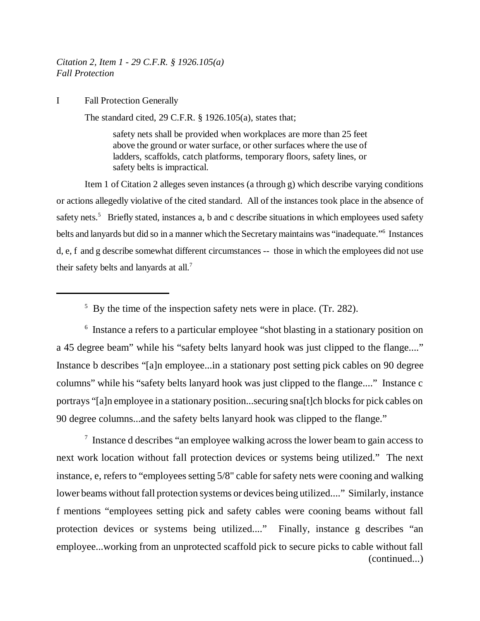*Citation 2, Item 1 - 29 C.F.R. § 1926.105(a) Fall Protection*

I Fall Protection Generally

The standard cited, 29 C.F.R. § 1926.105(a), states that;

safety nets shall be provided when workplaces are more than 25 feet above the ground or water surface, or other surfaces where the use of ladders, scaffolds, catch platforms, temporary floors, safety lines, or safety belts is impractical.

Item 1 of Citation 2 alleges seven instances (a through g) which describe varying conditions or actions allegedly violative of the cited standard. All of the instances took place in the absence of safety nets.<sup>5</sup> Briefly stated, instances a, b and c describe situations in which employees used safety belts and lanyards but did so in a manner which the Secretary maintains was "inadequate."6 Instances d, e, f and g describe somewhat different circumstances -- those in which the employees did not use their safety belts and lanyards at all.<sup>7</sup>

<sup>6</sup> Instance a refers to a particular employee "shot blasting in a stationary position on a 45 degree beam" while his "safety belts lanyard hook was just clipped to the flange...." Instance b describes "[a]n employee...in a stationary post setting pick cables on 90 degree columns" while his "safety belts lanyard hook was just clipped to the flange...." Instance c portrays "[a]n employee in a stationary position...securing sna[t]ch blocks for pick cables on 90 degree columns...and the safety belts lanyard hook was clipped to the flange."

<sup>7</sup> Instance d describes "an employee walking across the lower beam to gain access to next work location without fall protection devices or systems being utilized." The next instance, e, refers to "employees setting 5/8" cable for safety nets were cooning and walking lower beams without fall protection systems or devices being utilized...." Similarly, instance f mentions "employees setting pick and safety cables were cooning beams without fall protection devices or systems being utilized...." Finally, instance g describes "an employee...working from an unprotected scaffold pick to secure picks to cable without fall (continued...)

<sup>&</sup>lt;sup>5</sup> By the time of the inspection safety nets were in place. (Tr. 282).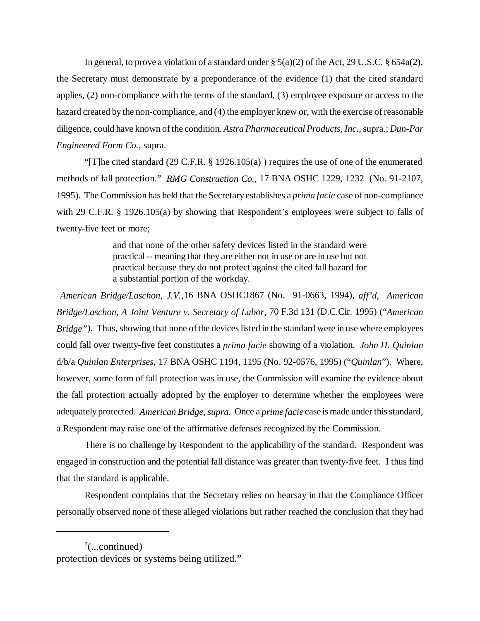In general, to prove a violation of a standard under  $\S$  5(a)(2) of the Act, 29 U.S.C.  $\S$  654a(2), the Secretary must demonstrate by a preponderance of the evidence (1) that the cited standard applies, (2) non-compliance with the terms of the standard, (3) employee exposure or access to the hazard created by the non-compliance, and (4) the employer knew or, with the exercise of reasonable diligence, could have known of the condition. *Astra Pharmaceutical Products, Inc.*, supra.; *Dun-Par Engineered Form Co.*, supra.

"[T]he cited standard (29 C.F.R. § 1926.105(a) ) requires the use of one of the enumerated methods of fall protection." *RMG Construction Co.,* 17 BNA OSHC 1229, 1232 (No. 91-2107, 1995). The Commission has held that the Secretary establishes a *prima facie* case of non-compliance with 29 C.F.R. § 1926.105(a) by showing that Respondent's employees were subject to falls of twenty-five feet or more;

> and that none of the other safety devices listed in the standard were practical -- meaning that they are either not in use or are in use but not practical because they do not protect against the cited fall hazard for a substantial portion of the workday.

 *American Bridge/Laschon, J.V.,*16 BNA OSHC1867 (No. 91-0663, 1994), *aff'd, American Bridge/Laschon, A Joint Venture v. Secretary of Labor,* 70 F.3d 131 (D.C.Cir. 1995) ("*American Bridge"*). Thus, showing that none of the devices listed in the standard were in use where employees could fall over twenty-five feet constitutes a *prima facie* showing of a violation. *John H. Quinlan* d/b/a *Quinlan Enterprises*, 17 BNA OSHC 1194, 1195 (No. 92-0576, 1995) ("*Quinlan*"). Where, however, some form of fall protection was in use, the Commission will examine the evidence about the fall protection actually adopted by the employer to determine whether the employees were adequately protected. *American Bridge, supra.* Once a *prime facie* case is made under this standard, a Respondent may raise one of the affirmative defenses recognized by the Commission.

There is no challenge by Respondent to the applicability of the standard. Respondent was engaged in construction and the potential fall distance was greater than twenty-five feet. I thus find that the standard is applicable.

Respondent complains that the Secretary relies on hearsay in that the Compliance Officer personally observed none of these alleged violations but rather reached the conclusion that they had

 $7$ (...continued) protection devices or systems being utilized."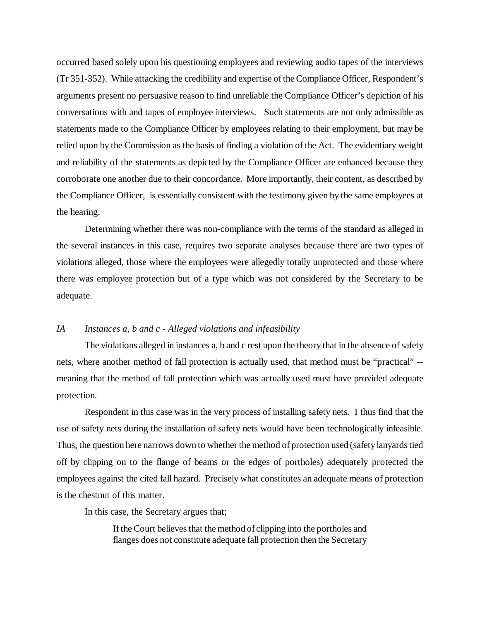occurred based solely upon his questioning employees and reviewing audio tapes of the interviews (Tr 351-352). While attacking the credibility and expertise of the Compliance Officer, Respondent's arguments present no persuasive reason to find unreliable the Compliance Officer's depiction of his conversations with and tapes of employee interviews. Such statements are not only admissible as statements made to the Compliance Officer by employees relating to their employment, but may be relied upon by the Commission as the basis of finding a violation of the Act. The evidentiary weight and reliability of the statements as depicted by the Compliance Officer are enhanced because they corroborate one another due to their concordance. More importantly, their content, as described by the Compliance Officer, is essentially consistent with the testimony given by the same employees at the hearing.

Determining whether there was non-compliance with the terms of the standard as alleged in the several instances in this case, requires two separate analyses because there are two types of violations alleged, those where the employees were allegedly totally unprotected and those where there was employee protection but of a type which was not considered by the Secretary to be adequate.

### *IA Instances a, b and c - Alleged violations and infeasibility*

The violations alleged in instances a, b and c rest upon the theory that in the absence of safety nets, where another method of fall protection is actually used, that method must be "practical" - meaning that the method of fall protection which was actually used must have provided adequate protection.

Respondent in this case was in the very process of installing safety nets. I thus find that the use of safety nets during the installation of safety nets would have been technologically infeasible. Thus, the question here narrows down to whether the method of protection used (safety lanyards tied off by clipping on to the flange of beams or the edges of portholes) adequately protected the employees against the cited fall hazard. Precisely what constitutes an adequate means of protection is the chestnut of this matter.

In this case, the Secretary argues that;

If the Court believes that the method of clipping into the portholes and flanges does not constitute adequate fall protection then the Secretary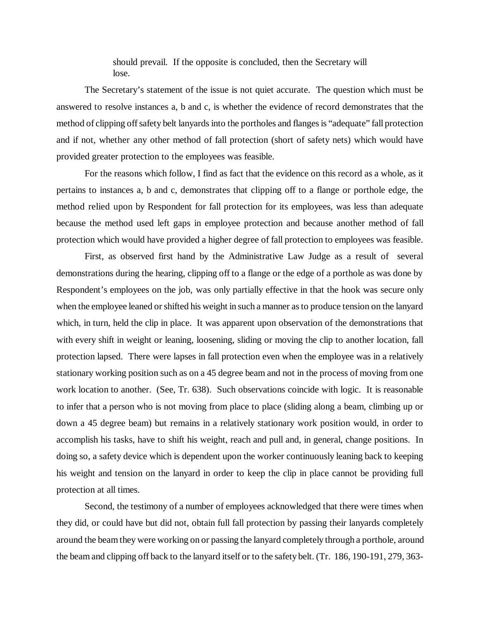should prevail. If the opposite is concluded, then the Secretary will lose.

The Secretary's statement of the issue is not quiet accurate. The question which must be answered to resolve instances a, b and c, is whether the evidence of record demonstrates that the method of clipping off safety belt lanyards into the portholes and flanges is "adequate" fall protection and if not, whether any other method of fall protection (short of safety nets) which would have provided greater protection to the employees was feasible.

For the reasons which follow, I find as fact that the evidence on this record as a whole, as it pertains to instances a, b and c, demonstrates that clipping off to a flange or porthole edge, the method relied upon by Respondent for fall protection for its employees, was less than adequate because the method used left gaps in employee protection and because another method of fall protection which would have provided a higher degree of fall protection to employees was feasible.

First, as observed first hand by the Administrative Law Judge as a result of several demonstrations during the hearing, clipping off to a flange or the edge of a porthole as was done by Respondent's employees on the job, was only partially effective in that the hook was secure only when the employee leaned or shifted his weight in such a manner as to produce tension on the lanyard which, in turn, held the clip in place. It was apparent upon observation of the demonstrations that with every shift in weight or leaning, loosening, sliding or moving the clip to another location, fall protection lapsed. There were lapses in fall protection even when the employee was in a relatively stationary working position such as on a 45 degree beam and not in the process of moving from one work location to another. (See, Tr. 638). Such observations coincide with logic. It is reasonable to infer that a person who is not moving from place to place (sliding along a beam, climbing up or down a 45 degree beam) but remains in a relatively stationary work position would, in order to accomplish his tasks, have to shift his weight, reach and pull and, in general, change positions. In doing so, a safety device which is dependent upon the worker continuously leaning back to keeping his weight and tension on the lanyard in order to keep the clip in place cannot be providing full protection at all times.

Second, the testimony of a number of employees acknowledged that there were times when they did, or could have but did not, obtain full fall protection by passing their lanyards completely around the beam they were working on or passing the lanyard completely through a porthole, around the beam and clipping off back to the lanyard itself or to the safety belt. (Tr. 186, 190-191, 279, 363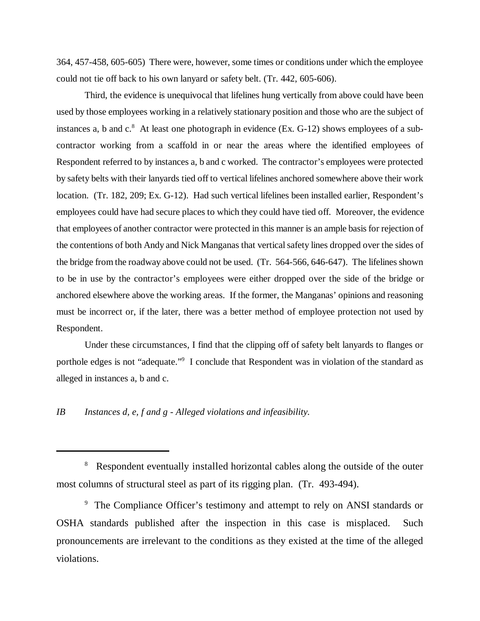364, 457-458, 605-605) There were, however, some times or conditions under which the employee could not tie off back to his own lanyard or safety belt. (Tr. 442, 605-606).

Third, the evidence is unequivocal that lifelines hung vertically from above could have been used by those employees working in a relatively stationary position and those who are the subject of instances a, b and c.<sup>8</sup> At least one photograph in evidence (Ex. G-12) shows employees of a subcontractor working from a scaffold in or near the areas where the identified employees of Respondent referred to by instances a, b and c worked. The contractor's employees were protected by safety belts with their lanyards tied off to vertical lifelines anchored somewhere above their work location. (Tr. 182, 209; Ex. G-12). Had such vertical lifelines been installed earlier, Respondent's employees could have had secure places to which they could have tied off. Moreover, the evidence that employees of another contractor were protected in this manner is an ample basis for rejection of the contentions of both Andy and Nick Manganas that vertical safety lines dropped over the sides of the bridge from the roadway above could not be used. (Tr. 564-566, 646-647). The lifelines shown to be in use by the contractor's employees were either dropped over the side of the bridge or anchored elsewhere above the working areas. If the former, the Manganas' opinions and reasoning must be incorrect or, if the later, there was a better method of employee protection not used by Respondent.

Under these circumstances, I find that the clipping off of safety belt lanyards to flanges or porthole edges is not "adequate."<sup>9</sup> I conclude that Respondent was in violation of the standard as alleged in instances a, b and c.

### *IB Instances d, e, f and g - Alleged violations and infeasibility.*

<sup>&</sup>lt;sup>8</sup> Respondent eventually installed horizontal cables along the outside of the outer most columns of structural steel as part of its rigging plan. (Tr. 493-494).

<sup>&</sup>lt;sup>9</sup> The Compliance Officer's testimony and attempt to rely on ANSI standards or OSHA standards published after the inspection in this case is misplaced. Such pronouncements are irrelevant to the conditions as they existed at the time of the alleged violations.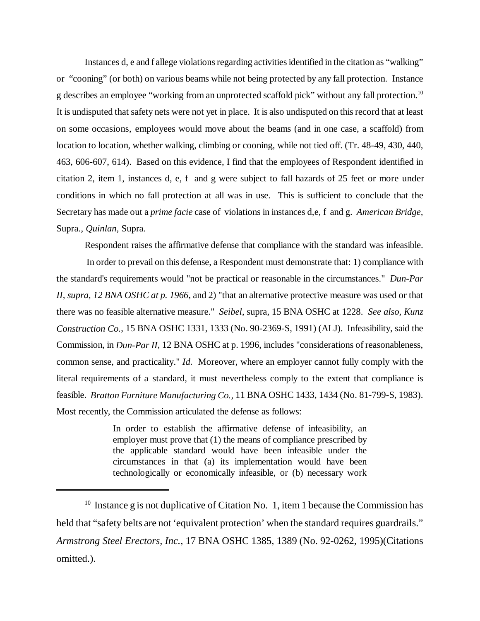Instances d, e and f allege violations regarding activities identified in the citation as "walking" or "cooning" (or both) on various beams while not being protected by any fall protection. Instance g describes an employee "working from an unprotected scaffold pick" without any fall protection.10 It is undisputed that safety nets were not yet in place. It is also undisputed on this record that at least on some occasions, employees would move about the beams (and in one case, a scaffold) from location to location, whether walking, climbing or cooning, while not tied off. (Tr. 48-49, 430, 440, 463, 606-607, 614). Based on this evidence, I find that the employees of Respondent identified in citation 2, item 1, instances d, e, f and g were subject to fall hazards of 25 feet or more under conditions in which no fall protection at all was in use. This is sufficient to conclude that the Secretary has made out a *prime facie* case of violations in instances d,e, f and g. *American Bridge,* Supra., *Quinlan,* Supra.

Respondent raises the affirmative defense that compliance with the standard was infeasible.

 In order to prevail on this defense, a Respondent must demonstrate that: 1) compliance with the standard's requirements would "not be practical or reasonable in the circumstances." *Dun-Par II, supra, 12 BNA OSHC at p. 1966*, and 2) "that an alternative protective measure was used or that there was no feasible alternative measure." *Seibel*, supra, 15 BNA OSHC at 1228. *See also, Kunz Construction Co.*, 15 BNA OSHC 1331, 1333 (No. 90-2369-S, 1991) (ALJ). Infeasibility, said the Commission, in *Dun-Par II*, 12 BNA OSHC at p. 1996, includes "considerations of reasonableness, common sense, and practicality." *Id.* Moreover, where an employer cannot fully comply with the literal requirements of a standard, it must nevertheless comply to the extent that compliance is feasible. *Bratton Furniture Manufacturing Co.,* 11 BNA OSHC 1433, 1434 (No. 81-799-S, 1983). Most recently, the Commission articulated the defense as follows:

> In order to establish the affirmative defense of infeasibility, an employer must prove that (1) the means of compliance prescribed by the applicable standard would have been infeasible under the circumstances in that (a) its implementation would have been technologically or economically infeasible, or (b) necessary work

<sup>&</sup>lt;sup>10</sup> Instance g is not duplicative of Citation No. 1, item 1 because the Commission has held that "safety belts are not 'equivalent protection' when the standard requires guardrails." *Armstrong Steel Erectors, Inc.*, 17 BNA OSHC 1385, 1389 (No. 92-0262, 1995)(Citations omitted.).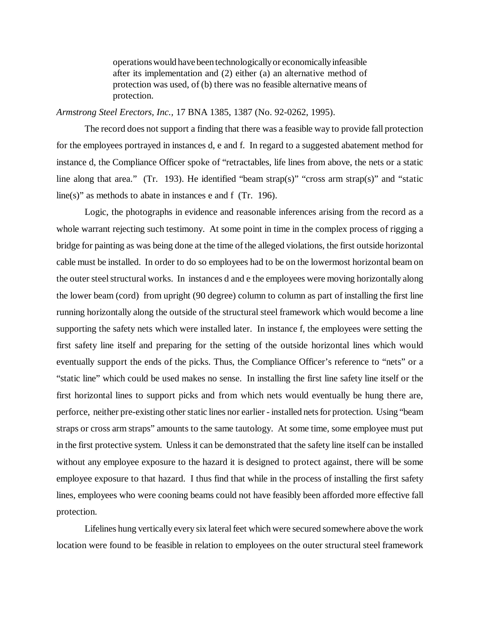operations would have been technologically or economically infeasible after its implementation and (2) either (a) an alternative method of protection was used, of (b) there was no feasible alternative means of protection.

### *Armstrong Steel Erectors, Inc.,* 17 BNA 1385, 1387 (No. 92-0262, 1995).

The record does not support a finding that there was a feasible way to provide fall protection for the employees portrayed in instances d, e and f. In regard to a suggested abatement method for instance d, the Compliance Officer spoke of "retractables, life lines from above, the nets or a static line along that area." (Tr. 193). He identified "beam strap(s)" "cross arm strap(s)" and "static line(s)" as methods to abate in instances e and f (Tr. 196).

Logic, the photographs in evidence and reasonable inferences arising from the record as a whole warrant rejecting such testimony. At some point in time in the complex process of rigging a bridge for painting as was being done at the time of the alleged violations, the first outside horizontal cable must be installed. In order to do so employees had to be on the lowermost horizontal beam on the outer steel structural works. In instances d and e the employees were moving horizontally along the lower beam (cord) from upright (90 degree) column to column as part of installing the first line running horizontally along the outside of the structural steel framework which would become a line supporting the safety nets which were installed later. In instance f, the employees were setting the first safety line itself and preparing for the setting of the outside horizontal lines which would eventually support the ends of the picks. Thus, the Compliance Officer's reference to "nets" or a "static line" which could be used makes no sense. In installing the first line safety line itself or the first horizontal lines to support picks and from which nets would eventually be hung there are, perforce, neither pre-existing other static lines nor earlier - installed nets for protection. Using "beam straps or cross arm straps" amounts to the same tautology. At some time, some employee must put in the first protective system. Unless it can be demonstrated that the safety line itself can be installed without any employee exposure to the hazard it is designed to protect against, there will be some employee exposure to that hazard. I thus find that while in the process of installing the first safety lines, employees who were cooning beams could not have feasibly been afforded more effective fall protection.

Lifelines hung vertically every six lateral feet which were secured somewhere above the work location were found to be feasible in relation to employees on the outer structural steel framework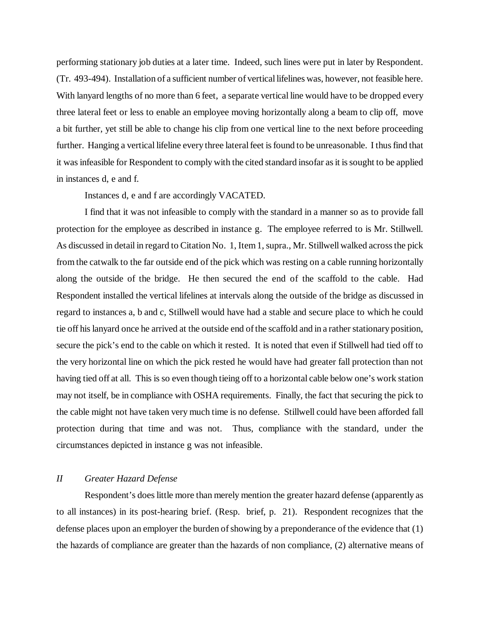performing stationary job duties at a later time. Indeed, such lines were put in later by Respondent. (Tr. 493-494). Installation of a sufficient number of vertical lifelines was, however, not feasible here. With lanyard lengths of no more than 6 feet, a separate vertical line would have to be dropped every three lateral feet or less to enable an employee moving horizontally along a beam to clip off, move a bit further, yet still be able to change his clip from one vertical line to the next before proceeding further. Hanging a vertical lifeline every three lateral feet is found to be unreasonable. I thus find that it was infeasible for Respondent to comply with the cited standard insofar as it is sought to be applied in instances d, e and f.

Instances d, e and f are accordingly VACATED.

I find that it was not infeasible to comply with the standard in a manner so as to provide fall protection for the employee as described in instance g. The employee referred to is Mr. Stillwell. As discussed in detail in regard to Citation No. 1, Item 1, supra., Mr. Stillwell walked across the pick from the catwalk to the far outside end of the pick which was resting on a cable running horizontally along the outside of the bridge. He then secured the end of the scaffold to the cable. Had Respondent installed the vertical lifelines at intervals along the outside of the bridge as discussed in regard to instances a, b and c, Stillwell would have had a stable and secure place to which he could tie off his lanyard once he arrived at the outside end of the scaffold and in a rather stationary position, secure the pick's end to the cable on which it rested. It is noted that even if Stillwell had tied off to the very horizontal line on which the pick rested he would have had greater fall protection than not having tied off at all. This is so even though tieing off to a horizontal cable below one's work station may not itself, be in compliance with OSHA requirements. Finally, the fact that securing the pick to the cable might not have taken very much time is no defense. Stillwell could have been afforded fall protection during that time and was not. Thus, compliance with the standard, under the circumstances depicted in instance g was not infeasible.

### *II Greater Hazard Defense*

Respondent's does little more than merely mention the greater hazard defense (apparently as to all instances) in its post-hearing brief. (Resp. brief, p. 21). Respondent recognizes that the defense places upon an employer the burden of showing by a preponderance of the evidence that (1) the hazards of compliance are greater than the hazards of non compliance, (2) alternative means of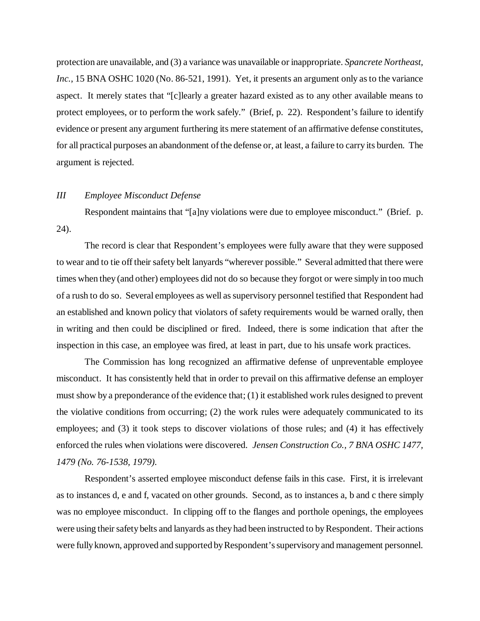protection are unavailable, and (3) a variance was unavailable or inappropriate. *Spancrete Northeast, Inc.*, 15 BNA OSHC 1020 (No. 86-521, 1991). Yet, it presents an argument only as to the variance aspect. It merely states that "[c]learly a greater hazard existed as to any other available means to protect employees, or to perform the work safely." (Brief, p. 22). Respondent's failure to identify evidence or present any argument furthering its mere statement of an affirmative defense constitutes, for all practical purposes an abandonment of the defense or, at least, a failure to carry its burden. The argument is rejected.

### *III Employee Misconduct Defense*

Respondent maintains that "[a]ny violations were due to employee misconduct." (Brief. p. 24).

The record is clear that Respondent's employees were fully aware that they were supposed to wear and to tie off their safety belt lanyards "wherever possible." Several admitted that there were times when they (and other) employees did not do so because they forgot or were simply in too much of a rush to do so. Several employees as well as supervisory personnel testified that Respondent had an established and known policy that violators of safety requirements would be warned orally, then in writing and then could be disciplined or fired. Indeed, there is some indication that after the inspection in this case, an employee was fired, at least in part, due to his unsafe work practices.

The Commission has long recognized an affirmative defense of unpreventable employee misconduct. It has consistently held that in order to prevail on this affirmative defense an employer must show by a preponderance of the evidence that; (1) it established work rules designed to prevent the violative conditions from occurring; (2) the work rules were adequately communicated to its employees; and (3) it took steps to discover violations of those rules; and (4) it has effectively enforced the rules when violations were discovered. *Jensen Construction Co., 7 BNA OSHC 1477, 1479 (No. 76-1538, 1979).*

Respondent's asserted employee misconduct defense fails in this case. First, it is irrelevant as to instances d, e and f, vacated on other grounds. Second, as to instances a, b and c there simply was no employee misconduct. In clipping off to the flanges and porthole openings, the employees were using their safety belts and lanyards as they had been instructed to by Respondent. Their actions were fully known, approved and supported by Respondent's supervisory and management personnel.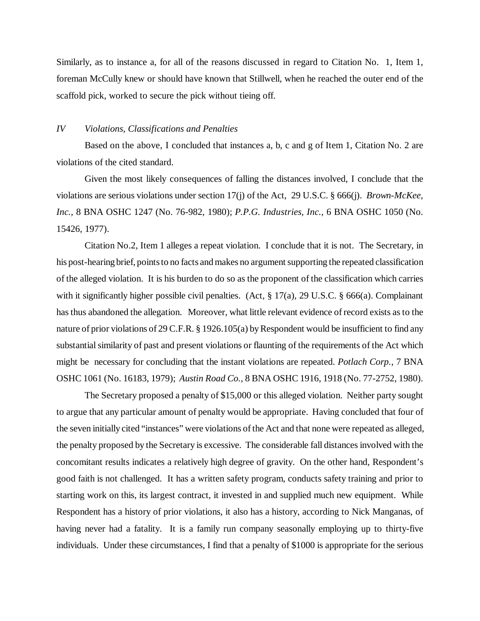Similarly, as to instance a, for all of the reasons discussed in regard to Citation No. 1, Item 1, foreman McCully knew or should have known that Stillwell, when he reached the outer end of the scaffold pick, worked to secure the pick without tieing off.

#### *IV Violations, Classifications and Penalties*

Based on the above, I concluded that instances a, b, c and g of Item 1, Citation No. 2 are violations of the cited standard.

Given the most likely consequences of falling the distances involved, I conclude that the violations are serious violations under section 17(j) of the Act, 29 U.S.C. § 666(j). *Brown-McKee, Inc.,* 8 BNA OSHC 1247 (No. 76-982, 1980); *P.P.G. Industries, Inc.,* 6 BNA OSHC 1050 (No. 15426, 1977).

Citation No.2, Item 1 alleges a repeat violation. I conclude that it is not. The Secretary, in his post-hearing brief, points to no facts and makes no argument supporting the repeated classification of the alleged violation. It is his burden to do so as the proponent of the classification which carries with it significantly higher possible civil penalties. (Act, § 17(a), 29 U.S.C. § 666(a). Complainant has thus abandoned the allegation. Moreover, what little relevant evidence of record exists as to the nature of prior violations of 29 C.F.R. § 1926.105(a) by Respondent would be insufficient to find any substantial similarity of past and present violations or flaunting of the requirements of the Act which might be necessary for concluding that the instant violations are repeated. *Potlach Corp.*, 7 BNA OSHC 1061 (No. 16183, 1979); *Austin Road Co.,* 8 BNA OSHC 1916, 1918 (No. 77-2752, 1980).

The Secretary proposed a penalty of \$15,000 or this alleged violation. Neither party sought to argue that any particular amount of penalty would be appropriate. Having concluded that four of the seven initially cited "instances" were violations of the Act and that none were repeated as alleged, the penalty proposed by the Secretary is excessive. The considerable fall distances involved with the concomitant results indicates a relatively high degree of gravity. On the other hand, Respondent's good faith is not challenged. It has a written safety program, conducts safety training and prior to starting work on this, its largest contract, it invested in and supplied much new equipment. While Respondent has a history of prior violations, it also has a history, according to Nick Manganas, of having never had a fatality. It is a family run company seasonally employing up to thirty-five individuals. Under these circumstances, I find that a penalty of \$1000 is appropriate for the serious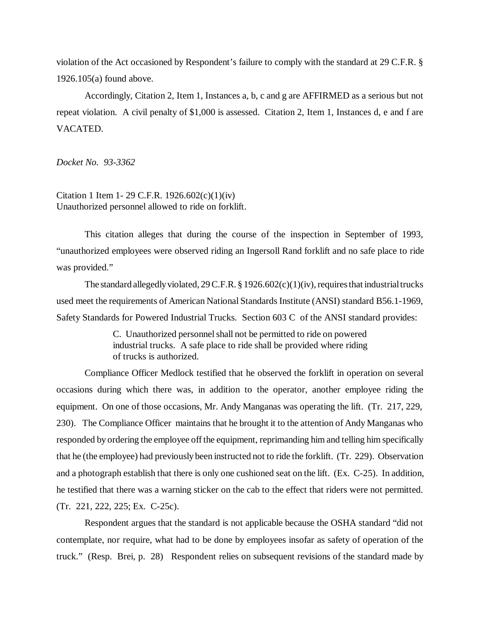violation of the Act occasioned by Respondent's failure to comply with the standard at 29 C.F.R. § 1926.105(a) found above.

Accordingly, Citation 2, Item 1, Instances a, b, c and g are AFFIRMED as a serious but not repeat violation. A civil penalty of \$1,000 is assessed. Citation 2, Item 1, Instances d, e and f are VACATED.

*Docket No. 93-3362*

Citation 1 Item 1- 29 C.F.R. 1926.602(c)(1)(iv) Unauthorized personnel allowed to ride on forklift.

This citation alleges that during the course of the inspection in September of 1993, "unauthorized employees were observed riding an Ingersoll Rand forklift and no safe place to ride was provided."

The standard allegedly violated, 29 C.F.R. § 1926.602(c)(1)(iv), requires that industrial trucks used meet the requirements of American National Standards Institute (ANSI) standard B56.1-1969, Safety Standards for Powered Industrial Trucks. Section 603 C of the ANSI standard provides:

> C. Unauthorized personnel shall not be permitted to ride on powered industrial trucks. A safe place to ride shall be provided where riding of trucks is authorized.

Compliance Officer Medlock testified that he observed the forklift in operation on several occasions during which there was, in addition to the operator, another employee riding the equipment. On one of those occasions, Mr. Andy Manganas was operating the lift. (Tr. 217, 229, 230). The Compliance Officer maintains that he brought it to the attention of Andy Manganas who responded by ordering the employee off the equipment, reprimanding him and telling him specifically that he (the employee) had previously been instructed not to ride the forklift. (Tr. 229). Observation and a photograph establish that there is only one cushioned seat on the lift. (Ex. C-25). In addition, he testified that there was a warning sticker on the cab to the effect that riders were not permitted. (Tr. 221, 222, 225; Ex. C-25c).

Respondent argues that the standard is not applicable because the OSHA standard "did not contemplate, nor require, what had to be done by employees insofar as safety of operation of the truck." (Resp. Brei, p. 28) Respondent relies on subsequent revisions of the standard made by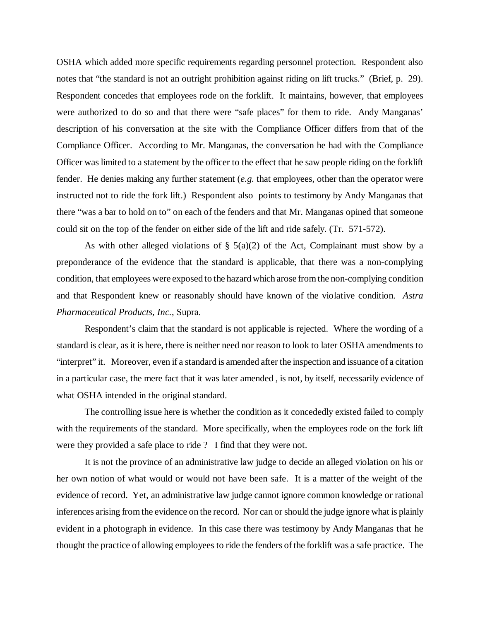OSHA which added more specific requirements regarding personnel protection. Respondent also notes that "the standard is not an outright prohibition against riding on lift trucks." (Brief, p. 29). Respondent concedes that employees rode on the forklift. It maintains, however, that employees were authorized to do so and that there were "safe places" for them to ride. Andy Manganas' description of his conversation at the site with the Compliance Officer differs from that of the Compliance Officer. According to Mr. Manganas, the conversation he had with the Compliance Officer was limited to a statement by the officer to the effect that he saw people riding on the forklift fender. He denies making any further statement (*e.g.* that employees, other than the operator were instructed not to ride the fork lift.) Respondent also points to testimony by Andy Manganas that there "was a bar to hold on to" on each of the fenders and that Mr. Manganas opined that someone could sit on the top of the fender on either side of the lift and ride safely. (Tr. 571-572).

As with other alleged violations of  $\S$  5(a)(2) of the Act, Complainant must show by a preponderance of the evidence that the standard is applicable, that there was a non-complying condition, that employees were exposed to the hazard which arose from the non-complying condition and that Respondent knew or reasonably should have known of the violative condition. *Astra Pharmaceutical Products, Inc.*, Supra.

Respondent's claim that the standard is not applicable is rejected. Where the wording of a standard is clear, as it is here, there is neither need nor reason to look to later OSHA amendments to "interpret" it. Moreover, even if a standard is amended after the inspection and issuance of a citation in a particular case, the mere fact that it was later amended , is not, by itself, necessarily evidence of what OSHA intended in the original standard.

The controlling issue here is whether the condition as it concededly existed failed to comply with the requirements of the standard. More specifically, when the employees rode on the fork lift were they provided a safe place to ride ? I find that they were not.

It is not the province of an administrative law judge to decide an alleged violation on his or her own notion of what would or would not have been safe. It is a matter of the weight of the evidence of record. Yet, an administrative law judge cannot ignore common knowledge or rational inferences arising from the evidence on the record. Nor can or should the judge ignore what is plainly evident in a photograph in evidence. In this case there was testimony by Andy Manganas that he thought the practice of allowing employees to ride the fenders of the forklift was a safe practice. The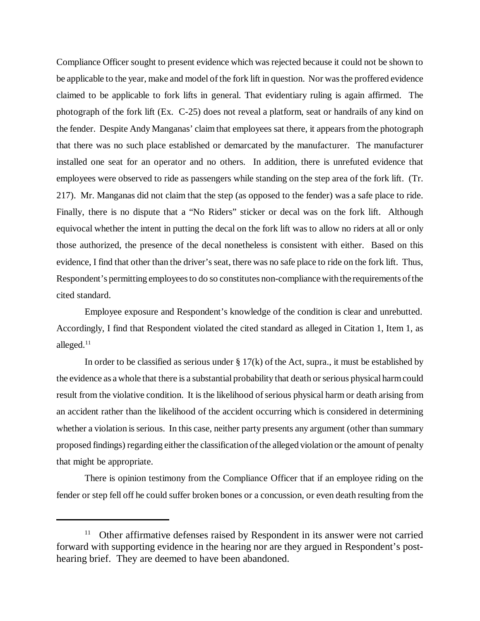Compliance Officer sought to present evidence which was rejected because it could not be shown to be applicable to the year, make and model of the fork lift in question. Nor was the proffered evidence claimed to be applicable to fork lifts in general. That evidentiary ruling is again affirmed. The photograph of the fork lift (Ex. C-25) does not reveal a platform, seat or handrails of any kind on the fender. Despite Andy Manganas' claim that employees sat there, it appears from the photograph that there was no such place established or demarcated by the manufacturer. The manufacturer installed one seat for an operator and no others. In addition, there is unrefuted evidence that employees were observed to ride as passengers while standing on the step area of the fork lift. (Tr. 217). Mr. Manganas did not claim that the step (as opposed to the fender) was a safe place to ride. Finally, there is no dispute that a "No Riders" sticker or decal was on the fork lift. Although equivocal whether the intent in putting the decal on the fork lift was to allow no riders at all or only those authorized, the presence of the decal nonetheless is consistent with either. Based on this evidence, I find that other than the driver's seat, there was no safe place to ride on the fork lift. Thus, Respondent's permitting employees to do so constitutes non-compliance with the requirements of the cited standard.

Employee exposure and Respondent's knowledge of the condition is clear and unrebutted. Accordingly, I find that Respondent violated the cited standard as alleged in Citation 1, Item 1, as alleged.<sup>11</sup>

In order to be classified as serious under  $\S 17(k)$  of the Act, supra., it must be established by the evidence as a whole that there is a substantial probability that death or serious physical harm could result from the violative condition. It is the likelihood of serious physical harm or death arising from an accident rather than the likelihood of the accident occurring which is considered in determining whether a violation is serious. In this case, neither party presents any argument (other than summary proposed findings) regarding either the classification of the alleged violation or the amount of penalty that might be appropriate.

There is opinion testimony from the Compliance Officer that if an employee riding on the fender or step fell off he could suffer broken bones or a concussion, or even death resulting from the

 $11$  Other affirmative defenses raised by Respondent in its answer were not carried forward with supporting evidence in the hearing nor are they argued in Respondent's posthearing brief. They are deemed to have been abandoned.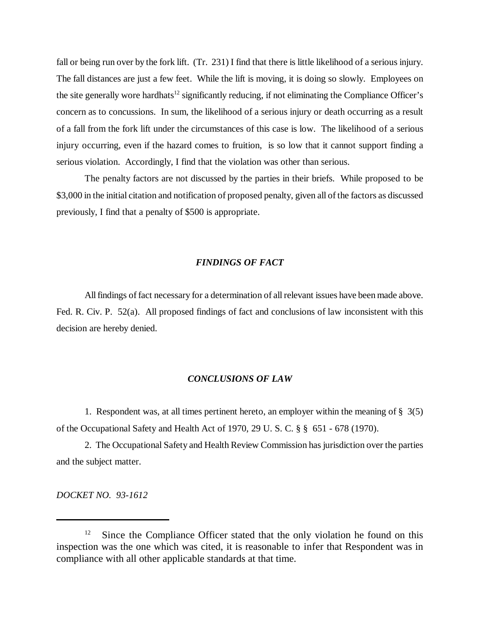fall or being run over by the fork lift. (Tr. 231) I find that there is little likelihood of a serious injury. The fall distances are just a few feet. While the lift is moving, it is doing so slowly. Employees on the site generally wore hardhats<sup>12</sup> significantly reducing, if not eliminating the Compliance Officer's concern as to concussions. In sum, the likelihood of a serious injury or death occurring as a result of a fall from the fork lift under the circumstances of this case is low. The likelihood of a serious injury occurring, even if the hazard comes to fruition, is so low that it cannot support finding a serious violation. Accordingly, I find that the violation was other than serious.

The penalty factors are not discussed by the parties in their briefs. While proposed to be \$3,000 in the initial citation and notification of proposed penalty, given all of the factors as discussed previously, I find that a penalty of \$500 is appropriate.

### *FINDINGS OF FACT*

All findings of fact necessary for a determination of all relevant issues have been made above. Fed. R. Civ. P. 52(a). All proposed findings of fact and conclusions of law inconsistent with this decision are hereby denied.

### *CONCLUSIONS OF LAW*

1. Respondent was, at all times pertinent hereto, an employer within the meaning of  $\S$  3(5) of the Occupational Safety and Health Act of 1970, 29 U. S. C. § § 651 - 678 (1970).

2. The Occupational Safety and Health Review Commission has jurisdiction over the parties and the subject matter.

*DOCKET NO. 93-1612*

<sup>&</sup>lt;sup>12</sup> Since the Compliance Officer stated that the only violation he found on this inspection was the one which was cited, it is reasonable to infer that Respondent was in compliance with all other applicable standards at that time.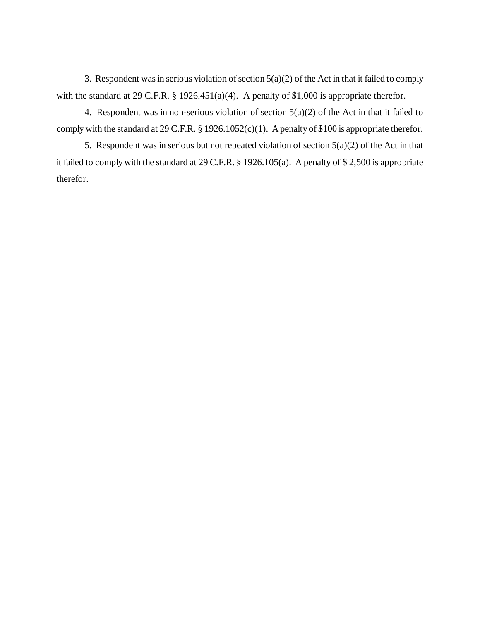3. Respondent was in serious violation of section 5(a)(2) of the Act in that it failed to comply with the standard at 29 C.F.R. § 1926.451(a)(4). A penalty of \$1,000 is appropriate therefor.

4. Respondent was in non-serious violation of section  $5(a)(2)$  of the Act in that it failed to comply with the standard at 29 C.F.R. § 1926.1052(c)(1). A penalty of \$100 is appropriate therefor.

5. Respondent was in serious but not repeated violation of section 5(a)(2) of the Act in that it failed to comply with the standard at 29 C.F.R. § 1926.105(a). A penalty of \$ 2,500 is appropriate therefor.